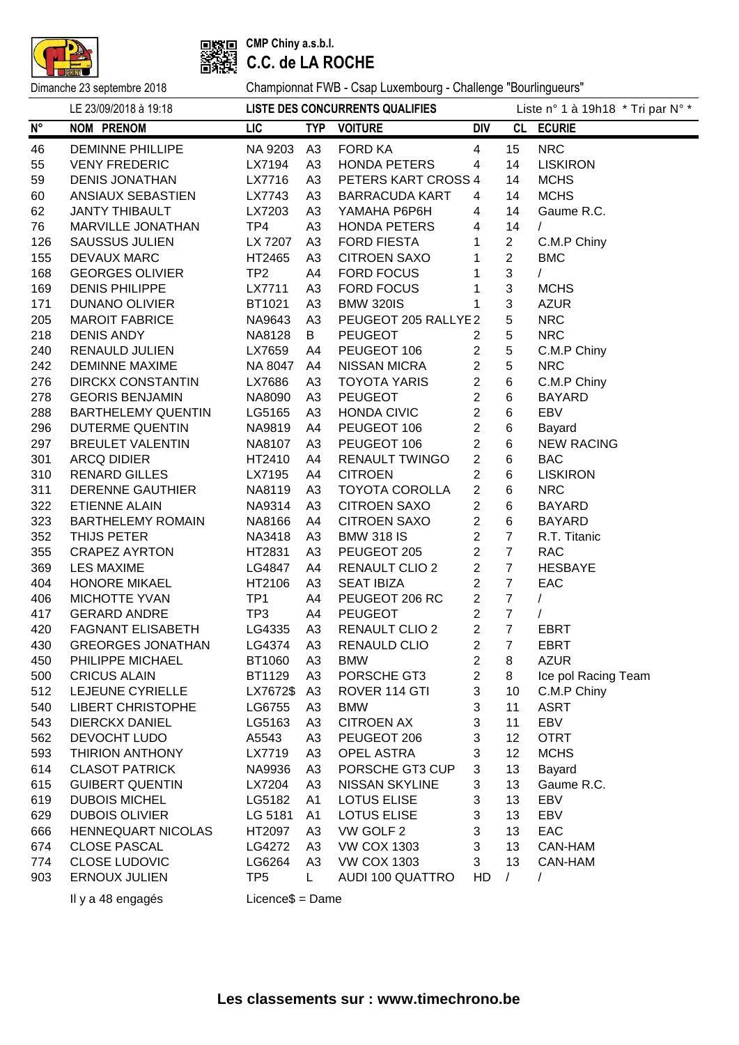



**CMP Chiny a.s.b.l. C.C. de LA ROCHE**

|                    | LE 23/09/2018 à 19:18     |                     |                | LISTE DES CONCURRENTS QUALIFIES |                         |                | Liste nº 1 à 19h18 * Tri par N° * |
|--------------------|---------------------------|---------------------|----------------|---------------------------------|-------------------------|----------------|-----------------------------------|
| $\mathsf{N}^\circ$ | <b>NOM PRENOM</b>         | <b>LIC</b>          |                | TYP VOITURE                     | <b>DIV</b>              |                | CL ECURIE                         |
| 46                 | <b>DEMINNE PHILLIPE</b>   | NA 9203             | A3             | <b>FORD KA</b>                  | 4                       | 15             | <b>NRC</b>                        |
| 55                 | <b>VENY FREDERIC</b>      | LX7194              | A <sub>3</sub> | <b>HONDA PETERS</b>             | 4                       | 14             | <b>LISKIRON</b>                   |
| 59                 | <b>DENIS JONATHAN</b>     | LX7716              | A <sub>3</sub> | PETERS KART CROSS 4             |                         | 14             | <b>MCHS</b>                       |
| 60                 | ANSIAUX SEBASTIEN         | LX7743              | A <sub>3</sub> | <b>BARRACUDA KART</b>           | 4                       | 14             | <b>MCHS</b>                       |
| 62                 | <b>JANTY THIBAULT</b>     | LX7203              | A <sub>3</sub> | YAMAHA P6P6H                    | 4                       | 14             | Gaume R.C.                        |
| 76                 | MARVILLE JONATHAN         | TP4                 | A <sub>3</sub> | <b>HONDA PETERS</b>             | 4                       | 14             | $\sqrt{2}$                        |
| 126                | <b>SAUSSUS JULIEN</b>     | LX 7207             | A3             | <b>FORD FIESTA</b>              | 1                       | $\overline{2}$ | C.M.P Chiny                       |
| 155                | <b>DEVAUX MARC</b>        | HT2465              | A <sub>3</sub> | <b>CITROEN SAXO</b>             | 1                       | $\overline{2}$ | <b>BMC</b>                        |
| 168                | <b>GEORGES OLIVIER</b>    | TP <sub>2</sub>     | A4             | <b>FORD FOCUS</b>               | 1                       | 3              | $\sqrt{2}$                        |
| 169                | <b>DENIS PHILIPPE</b>     | LX7711              | A <sub>3</sub> | <b>FORD FOCUS</b>               | 1                       | 3              | <b>MCHS</b>                       |
| 171                | <b>DUNANO OLIVIER</b>     | BT1021              | A <sub>3</sub> | <b>BMW 320IS</b>                | 1                       | 3              | <b>AZUR</b>                       |
| 205                | <b>MAROIT FABRICE</b>     | NA9643              | A <sub>3</sub> | PEUGEOT 205 RALLYE2             |                         | 5              | <b>NRC</b>                        |
| 218                | <b>DENIS ANDY</b>         | NA8128              | B              | <b>PEUGEOT</b>                  | $\overline{2}$          | 5              | <b>NRC</b>                        |
| 240                | <b>RENAULD JULIEN</b>     | LX7659              | A4             | PEUGEOT 106                     | $\overline{2}$          | 5              | C.M.P Chiny                       |
| 242                | <b>DEMINNE MAXIME</b>     | NA 8047             | A4             | <b>NISSAN MICRA</b>             | $\overline{2}$          | 5              | <b>NRC</b>                        |
| 276                | <b>DIRCKX CONSTANTIN</b>  | LX7686              | A <sub>3</sub> | <b>TOYOTA YARIS</b>             | $\overline{2}$          | 6              | C.M.P Chiny                       |
| 278                | <b>GEORIS BENJAMIN</b>    | NA8090              | A3             | <b>PEUGEOT</b>                  | $\overline{c}$          | 6              | <b>BAYARD</b>                     |
| 288                | <b>BARTHELEMY QUENTIN</b> | LG5165              | A <sub>3</sub> | <b>HONDA CIVIC</b>              | $\overline{c}$          | 6              | EBV                               |
| 296                | <b>DUTERME QUENTIN</b>    | NA9819              | A4             | PEUGEOT 106                     | $\overline{c}$          | 6              | Bayard                            |
| 297                | <b>BREULET VALENTIN</b>   | NA8107              | A3             | PEUGEOT 106                     | $\boldsymbol{2}$        | 6              | <b>NEW RACING</b>                 |
| 301                | <b>ARCQ DIDIER</b>        | HT2410              | A4             | <b>RENAULT TWINGO</b>           | $\overline{2}$          | 6              | <b>BAC</b>                        |
| 310                | <b>RENARD GILLES</b>      | LX7195              | A4             | <b>CITROEN</b>                  | $\overline{2}$          | 6              | <b>LISKIRON</b>                   |
| 311                | <b>DERENNE GAUTHIER</b>   | NA8119              | A <sub>3</sub> | <b>TOYOTA COROLLA</b>           | $\overline{2}$          | 6              | <b>NRC</b>                        |
| 322                | <b>ETIENNE ALAIN</b>      | NA9314              | A <sub>3</sub> | <b>CITROEN SAXO</b>             | $\overline{2}$          | 6              | <b>BAYARD</b>                     |
| 323                | <b>BARTHELEMY ROMAIN</b>  | NA8166              | A4             | <b>CITROEN SAXO</b>             | $\overline{2}$          | 6              | <b>BAYARD</b>                     |
| 352                | THIJS PETER               | <b>NA3418</b>       | A <sub>3</sub> | <b>BMW 318 IS</b>               | $\overline{2}$          | $\overline{7}$ | R.T. Titanic                      |
| 355                | <b>CRAPEZ AYRTON</b>      | HT2831              | A <sub>3</sub> | PEUGEOT 205                     | $\overline{2}$          | $\overline{7}$ | <b>RAC</b>                        |
| 369                | <b>LES MAXIME</b>         | LG4847              | A4             | <b>RENAULT CLIO 2</b>           | $\overline{2}$          | $\overline{7}$ | <b>HESBAYE</b>                    |
| 404                | <b>HONORE MIKAEL</b>      | HT2106              | A3             | <b>SEAT IBIZA</b>               | $\overline{2}$          | $\overline{7}$ | EAC                               |
| 406                | MICHOTTE YVAN             | TP <sub>1</sub>     | A4             | PEUGEOT 206 RC                  | $\overline{2}$          | $\overline{7}$ | $\sqrt{2}$                        |
| 417                | <b>GERARD ANDRE</b>       | TP <sub>3</sub>     | A4             | <b>PEUGEOT</b>                  | $\overline{2}$          | $\overline{7}$ | $\sqrt{2}$                        |
| 420                | <b>FAGNANT ELISABETH</b>  | LG4335              | A3             | <b>RENAULT CLIO 2</b>           | $\overline{2}$          | $\overline{7}$ | <b>EBRT</b>                       |
| 430                | <b>GREORGES JONATHAN</b>  | LG4374              | A3             | <b>RENAULD CLIO</b>             | $\overline{2}$          | $\overline{7}$ | <b>EBRT</b>                       |
| 450                | PHILIPPE MICHAEL          | BT1060 A3           |                | <b>BMW</b>                      |                         | $2 \quad 8$    | <b>AZUR</b>                       |
| 500                | <b>CRICUS ALAIN</b>       | BT1129              | A3             | PORSCHE GT3                     | $\overline{\mathbf{c}}$ | 8              | Ice pol Racing Team               |
| 512                | LEJEUNE CYRIELLE          | LX7672\$            | A <sub>3</sub> | ROVER 114 GTI                   | 3                       | 10             | C.M.P Chiny                       |
| 540                | <b>LIBERT CHRISTOPHE</b>  | LG6755              | A <sub>3</sub> | <b>BMW</b>                      | 3                       | 11             | <b>ASRT</b>                       |
| 543                | <b>DIERCKX DANIEL</b>     | LG5163              | A <sub>3</sub> | <b>CITROEN AX</b>               | 3                       | 11             | EBV                               |
| 562                | DEVOCHT LUDO              | A5543               | A <sub>3</sub> | PEUGEOT 206                     | 3                       | 12             | <b>OTRT</b>                       |
| 593                | THIRION ANTHONY           | LX7719              | A <sub>3</sub> | <b>OPEL ASTRA</b>               | 3                       | 12             | <b>MCHS</b>                       |
| 614                | <b>CLASOT PATRICK</b>     | NA9936              | A <sub>3</sub> | PORSCHE GT3 CUP                 | 3                       | 13             | Bayard                            |
| 615                | <b>GUIBERT QUENTIN</b>    | LX7204              | A <sub>3</sub> | <b>NISSAN SKYLINE</b>           | 3                       | 13             | Gaume R.C.                        |
| 619                | <b>DUBOIS MICHEL</b>      | LG5182              | A <sub>1</sub> | LOTUS ELISE                     | 3                       | 13             | EBV                               |
| 629                | <b>DUBOIS OLIVIER</b>     | LG 5181             | A <sub>1</sub> | <b>LOTUS ELISE</b>              | 3                       | 13             | EBV                               |
| 666                | <b>HENNEQUART NICOLAS</b> | HT2097              | A <sub>3</sub> | VW GOLF 2                       | 3                       | 13             | EAC                               |
| 674                | <b>CLOSE PASCAL</b>       | LG4272              | A <sub>3</sub> | <b>VW COX 1303</b>              | 3                       | 13             | CAN-HAM                           |
| 774                | <b>CLOSE LUDOVIC</b>      | LG6264              | A <sub>3</sub> | <b>VW COX 1303</b>              | 3                       | 13             | CAN-HAM                           |
| 903                | <b>ERNOUX JULIEN</b>      | TP <sub>5</sub>     | L              | <b>AUDI 100 QUATTRO</b>         | HD                      | $\sqrt{2}$     |                                   |
|                    | Il y a 48 engagés         | $Licence$ \$ = Dame |                |                                 |                         |                |                                   |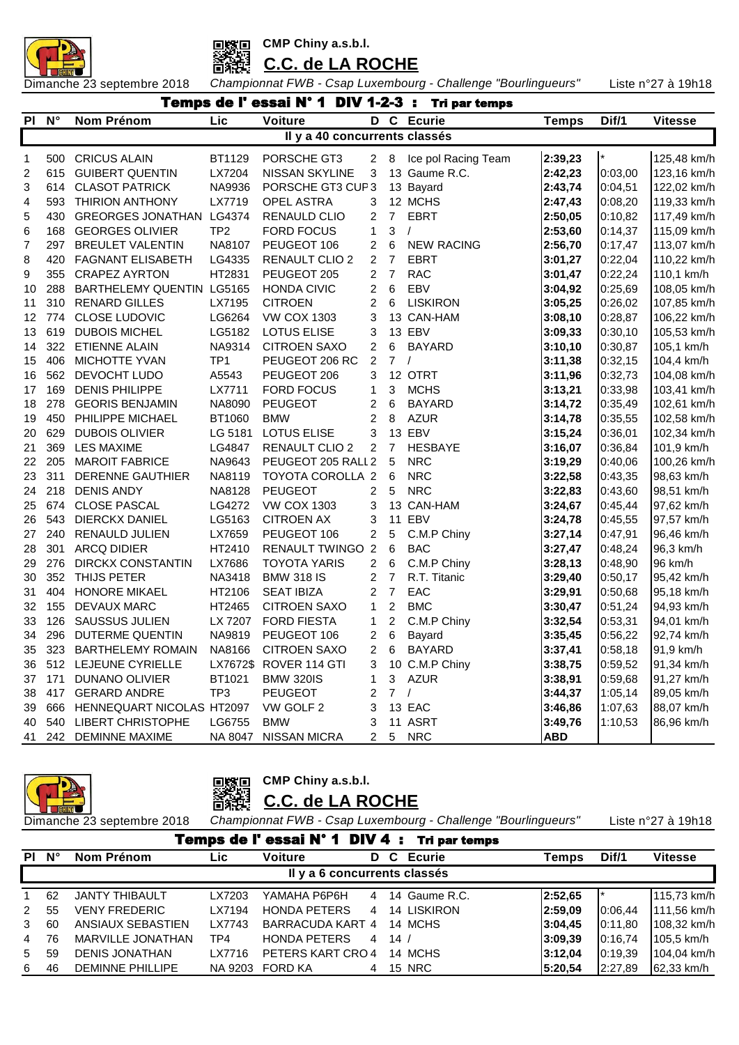



# **C.C. de LA ROCHE**

Dimanche 23 septembre 2018 *Championnat FWB - Csap Luxembourg - Challenge "Bourlingueurs"* Liste n°27 à 19h18

|    | Temps de l'essai N° 1 DIV 1-2-3 :<br><b>Tri par temps</b><br>Lic<br>D C Ecurie<br>$N^{\circ}$<br>Nom Prénom<br><b>Voiture</b><br>Dif/1<br><b>Vitesse</b><br><b>Temps</b> |                                           |                 |                               |                         |                |                     |            |         |             |  |  |  |  |
|----|--------------------------------------------------------------------------------------------------------------------------------------------------------------------------|-------------------------------------------|-----------------|-------------------------------|-------------------------|----------------|---------------------|------------|---------|-------------|--|--|--|--|
| PI |                                                                                                                                                                          |                                           |                 |                               |                         |                |                     |            |         |             |  |  |  |  |
|    |                                                                                                                                                                          |                                           |                 | Il y a 40 concurrents classés |                         |                |                     |            |         |             |  |  |  |  |
| 1  | 500                                                                                                                                                                      | <b>CRICUS ALAIN</b>                       | BT1129          | PORSCHE GT3                   | $\overline{2}$          | 8              | Ice pol Racing Team | 2:39,23    | $\star$ | 125,48 km/h |  |  |  |  |
| 2  | 615                                                                                                                                                                      | <b>GUIBERT QUENTIN</b>                    | LX7204          | NISSAN SKYLINE                | 3                       |                | 13 Gaume R.C.       | 2:42,23    | 0:03,00 | 123,16 km/h |  |  |  |  |
| 3  | 614                                                                                                                                                                      | <b>CLASOT PATRICK</b>                     | NA9936          | PORSCHE GT3 CUP3              |                         |                | 13 Bayard           | 2:43,74    | 0:04,51 | 122,02 km/h |  |  |  |  |
| 4  | 593                                                                                                                                                                      | <b>THIRION ANTHONY</b>                    | LX7719          | OPEL ASTRA                    | 3                       |                | 12 MCHS             | 2:47,43    | 0:08,20 | 119,33 km/h |  |  |  |  |
| 5  | 430                                                                                                                                                                      | <b>GREORGES JONATHAN</b>                  | LG4374          | RENAULD CLIO                  | $\overline{2}$          | $\overline{7}$ | <b>EBRT</b>         | 2:50,05    | 0:10,82 | 117,49 km/h |  |  |  |  |
| 6  | 168                                                                                                                                                                      | <b>GEORGES OLIVIER</b>                    | TP <sub>2</sub> | FORD FOCUS                    | 1                       | 3              | $\prime$            | 2:53,60    | 0:14,37 | 115,09 km/h |  |  |  |  |
| 7  | 297                                                                                                                                                                      | <b>BREULET VALENTIN</b>                   | NA8107          | PEUGEOT 106                   | 2                       | 6              | <b>NEW RACING</b>   | 2:56,70    | 0:17,47 | 113,07 km/h |  |  |  |  |
| 8  | 420                                                                                                                                                                      | <b>FAGNANT ELISABETH</b>                  | LG4335          | RENAULT CLIO 2                | $\overline{2}$          | $\overline{7}$ | <b>EBRT</b>         | 3:01,27    | 0:22,04 | 110,22 km/h |  |  |  |  |
| 9  | 355                                                                                                                                                                      | <b>CRAPEZ AYRTON</b>                      | HT2831          | PEUGEOT 205                   | 2                       | $\overline{7}$ | <b>RAC</b>          | 3:01,47    | 0:22,24 | 110,1 km/h  |  |  |  |  |
| 10 | 288                                                                                                                                                                      | BARTHELEMY QUENTIN                        | LG5165          | <b>HONDA CIVIC</b>            | 2                       | 6              | EBV                 | 3:04,92    | 0:25,69 | 108,05 km/h |  |  |  |  |
| 11 | 310                                                                                                                                                                      | <b>RENARD GILLES</b>                      | LX7195          | <b>CITROEN</b>                | 2                       | 6              | <b>LISKIRON</b>     | 3:05,25    | 0:26,02 | 107,85 km/h |  |  |  |  |
| 12 | 774                                                                                                                                                                      | CLOSE LUDOVIC                             | LG6264          | <b>VW COX 1303</b>            | 3                       |                | 13 CAN-HAM          | 3:08,10    | 0:28,87 | 106,22 km/h |  |  |  |  |
| 13 | 619                                                                                                                                                                      | <b>DUBOIS MICHEL</b>                      | LG5182          | LOTUS ELISE                   | 3                       |                | 13 EBV              | 3:09,33    | 0:30,10 | 105,53 km/h |  |  |  |  |
| 14 | 322                                                                                                                                                                      | ETIENNE ALAIN                             | NA9314          | <b>CITROEN SAXO</b>           | 2                       | 6              | <b>BAYARD</b>       | 3:10,10    | 0:30,87 | 105,1 km/h  |  |  |  |  |
| 15 | 406                                                                                                                                                                      | MICHOTTE YVAN                             | TP <sub>1</sub> | PEUGEOT 206 RC                | 2                       | $\overline{7}$ | $\sqrt{ }$          | 3:11,38    | 0:32,15 | 104,4 km/h  |  |  |  |  |
| 16 | 562                                                                                                                                                                      | DEVOCHT LUDO                              | A5543           | PEUGEOT 206                   | 3                       |                | 12 OTRT             | 3:11,96    | 0:32,73 | 104,08 km/h |  |  |  |  |
| 17 | 169                                                                                                                                                                      | <b>DENIS PHILIPPE</b>                     | LX7711          | <b>FORD FOCUS</b>             | 1                       | 3              | <b>MCHS</b>         | 3:13,21    | 0:33,98 | 103,41 km/h |  |  |  |  |
| 18 | 278                                                                                                                                                                      | <b>GEORIS BENJAMIN</b>                    | NA8090          | PEUGEOT                       | 2                       | 6              | <b>BAYARD</b>       | 3:14,72    | 0:35,49 | 102,61 km/h |  |  |  |  |
| 19 | 450                                                                                                                                                                      | PHILIPPE MICHAEL                          | BT1060          | <b>BMW</b>                    | 2                       | 8              | <b>AZUR</b>         | 3:14,78    | 0:35,55 | 102,58 km/h |  |  |  |  |
| 20 | 629                                                                                                                                                                      | <b>DUBOIS OLIVIER</b>                     | LG 5181         | <b>LOTUS ELISE</b>            | 3                       |                | 13 EBV              | 3:15,24    | 0:36,01 | 102,34 km/h |  |  |  |  |
| 21 | 369                                                                                                                                                                      | <b>LES MAXIME</b>                         | LG4847          | RENAULT CLIO 2                | $\overline{2}$          | 7              | <b>HESBAYE</b>      | 3:16,07    | 0:36,84 | 101,9 km/h  |  |  |  |  |
| 22 | 205                                                                                                                                                                      | <b>MAROIT FABRICE</b>                     | NA9643          | PEUGEOT 205 RALL 2            |                         | 5              | <b>NRC</b>          | 3:19,29    | 0:40,06 | 100,26 km/h |  |  |  |  |
| 23 | 311                                                                                                                                                                      | DERENNE GAUTHIER                          | NA8119          | TOYOTA COROLLA 2              |                         | 6              | <b>NRC</b>          | 3:22,58    | 0:43,35 | 98,63 km/h  |  |  |  |  |
| 24 | 218                                                                                                                                                                      | <b>DENIS ANDY</b>                         | NA8128          | <b>PEUGEOT</b>                | 2                       | 5              | <b>NRC</b>          | 3:22,83    | 0:43,60 | 98,51 km/h  |  |  |  |  |
| 25 | 674                                                                                                                                                                      | <b>CLOSE PASCAL</b>                       | LG4272          | <b>VW COX 1303</b>            | 3                       |                | 13 CAN-HAM          | 3:24,67    | 0:45,44 | 97,62 km/h  |  |  |  |  |
| 26 | 543                                                                                                                                                                      | DIERCKX DANIEL                            | LG5163          | <b>CITROEN AX</b>             | 3                       | 11             | EBV                 | 3:24,78    | 0:45,55 | 97,57 km/h  |  |  |  |  |
| 27 | 240                                                                                                                                                                      | RENAULD JULIEN                            | LX7659          | PEUGEOT 106                   | $\overline{2}$          | 5              | C.M.P Chiny         | 3:27,14    | 0:47,91 | 96,46 km/h  |  |  |  |  |
| 28 | 301                                                                                                                                                                      | <b>ARCQ DIDIER</b>                        | HT2410          | <b>RENAULT TWINGO 2</b>       |                         | 6              | <b>BAC</b>          | 3:27,47    | 0:48,24 | 96,3 km/h   |  |  |  |  |
| 29 | 276                                                                                                                                                                      | <b>DIRCKX CONSTANTIN</b>                  | LX7686          | <b>TOYOTA YARIS</b>           | 2                       | 6              | C.M.P Chiny         | 3:28,13    | 0:48,90 | 96 km/h     |  |  |  |  |
| 30 | 352                                                                                                                                                                      | THIJS PETER                               | NA3418          | <b>BMW 318 IS</b>             | 2                       | $\overline{7}$ | R.T. Titanic        | 3:29,40    | 0:50,17 | 95,42 km/h  |  |  |  |  |
| 31 | 404                                                                                                                                                                      | <b>HONORE MIKAEL</b>                      | HT2106          | <b>SEAT IBIZA</b>             | 2                       | $\overline{7}$ | EAC                 | 3:29,91    | 0:50,68 | 95,18 km/h  |  |  |  |  |
| 32 | 155                                                                                                                                                                      | DEVAUX MARC                               | HT2465          | <b>CITROEN SAXO</b>           | $\mathbf{1}$            | $\overline{2}$ | <b>BMC</b>          | 3:30,47    | 0:51,24 | 94,93 km/h  |  |  |  |  |
| 33 | 126                                                                                                                                                                      | SAUSSUS JULIEN                            | LX 7207         | <b>FORD FIESTA</b>            | 1                       | 2              | C.M.P Chiny         | 3:32,54    | 0:53,31 | 94,01 km/h  |  |  |  |  |
| 34 | 296                                                                                                                                                                      | DUTERME QUENTIN                           | NA9819          | PEUGEOT 106                   | 2                       | 6              | Bayard              | 3:35,45    | 0:56,22 | 92,74 km/h  |  |  |  |  |
| 35 |                                                                                                                                                                          | 323 BARTHELEMY ROMAIN NA8166 CITROEN SAXO |                 |                               | $\overline{\mathbf{c}}$ | 6              | BAYARD              | 3:37,41    | 0:58,18 | 91,9 km/h   |  |  |  |  |
|    |                                                                                                                                                                          | 36 512 LEJEUNE CYRIELLE                   |                 | LX7672\$ ROVER 114 GTI        | 3                       |                | 10 C.M.P Chiny      | 3:38,75    | 0:59,52 | 91,34 km/h  |  |  |  |  |
| 37 | 171                                                                                                                                                                      | <b>DUNANO OLIVIER</b>                     | BT1021          | <b>BMW 320IS</b>              |                         |                | 3 AZUR              | 3:38,91    | 0:59,68 | 91,27 km/h  |  |  |  |  |
| 38 |                                                                                                                                                                          | 417 GERARD ANDRE                          | TP <sub>3</sub> | <b>PEUGEOT</b>                | 2                       | 7/             |                     | 3:44,37    | 1:05,14 | 89,05 km/h  |  |  |  |  |
| 39 | 666                                                                                                                                                                      | HENNEQUART NICOLAS HT2097                 |                 | VW GOLF 2                     | 3                       |                | 13 EAC              | 3:46,86    | 1:07,63 | 88,07 km/h  |  |  |  |  |
| 40 | 540                                                                                                                                                                      | <b>LIBERT CHRISTOPHE</b>                  | LG6755          | <b>BMW</b>                    | 3                       |                | 11 ASRT             | 3:49,76    | 1:10,53 | 86,96 km/h  |  |  |  |  |
| 41 |                                                                                                                                                                          | 242 DEMINNE MAXIME                        |                 | NA 8047 NISSAN MICRA          | 2                       |                | 5 NRC               | <b>ABD</b> |         |             |  |  |  |  |



**CMP Chiny a.s.b.l.** ■縦 **C.C. de LA ROCHE**

|   | $\blacksquare$ $\blacksquare$<br>Dimanche 23 septembre 2018 |                         | Championnat FWB - Csap Luxembourg - Challenge "Bourlingueurs" |                                |                |     |                      |         |          | Liste n°27 à 19h18 |  |
|---|-------------------------------------------------------------|-------------------------|---------------------------------------------------------------|--------------------------------|----------------|-----|----------------------|---------|----------|--------------------|--|
|   |                                                             |                         |                                                               | Temps de l' essai N° 1 DIV 4 : |                |     | <b>Tri par temps</b> |         |          |                    |  |
|   | $PI$ $N^\circ$                                              | Nom Prénom              | Lic                                                           | Voiture                        | D.             | C   | Ecurie               | Temps   | Dif/1    | <b>Vitesse</b>     |  |
|   |                                                             |                         |                                                               | Il y a 6 concurrents classés   |                |     |                      |         |          |                    |  |
|   | 62                                                          | <b>JANTY THIBAULT</b>   | LX7203                                                        | ҮАМАНА Р6Р6Н                   | 4              |     | 14 Gaume R.C.        | 2:52,65 |          | 115,73 km/h        |  |
| 2 | 55                                                          | <b>VENY FREDERIC</b>    | LX7194                                                        | <b>HONDA PETERS</b>            | 4              |     | <b>14 LISKIRON</b>   | 2:59.09 | 0:06.44  | 111,56 km/h        |  |
| 3 | 60                                                          | ANSIAUX SEBASTIEN       | LX7743                                                        | BARRACUDA KART 4               |                |     | 14 MCHS              | 3:04,45 | 10:11.80 | 108.32 km/h        |  |
| 4 | 76                                                          | MARVILLE JONATHAN       | TP4                                                           | <b>HONDA PETERS</b>            | 4              | 14/ |                      | 3:09.39 | 10:16.74 | 105,5 km/h         |  |
| 5 | 59                                                          | <b>DENIS JONATHAN</b>   | LX7716                                                        | PETERS KART CRO 4              |                |     | 14 MCHS              | 3:12.04 | 0:19.39  | 104,04 km/h        |  |
| 6 | 46                                                          | <b>DEMINNE PHILLIPE</b> | NA 9203                                                       | <b>FORD KA</b>                 | $\overline{4}$ |     | <b>15 NRC</b>        | 5:20.54 | 2:27,89  | 62,33 km/h         |  |
|   |                                                             |                         |                                                               |                                |                |     |                      |         |          |                    |  |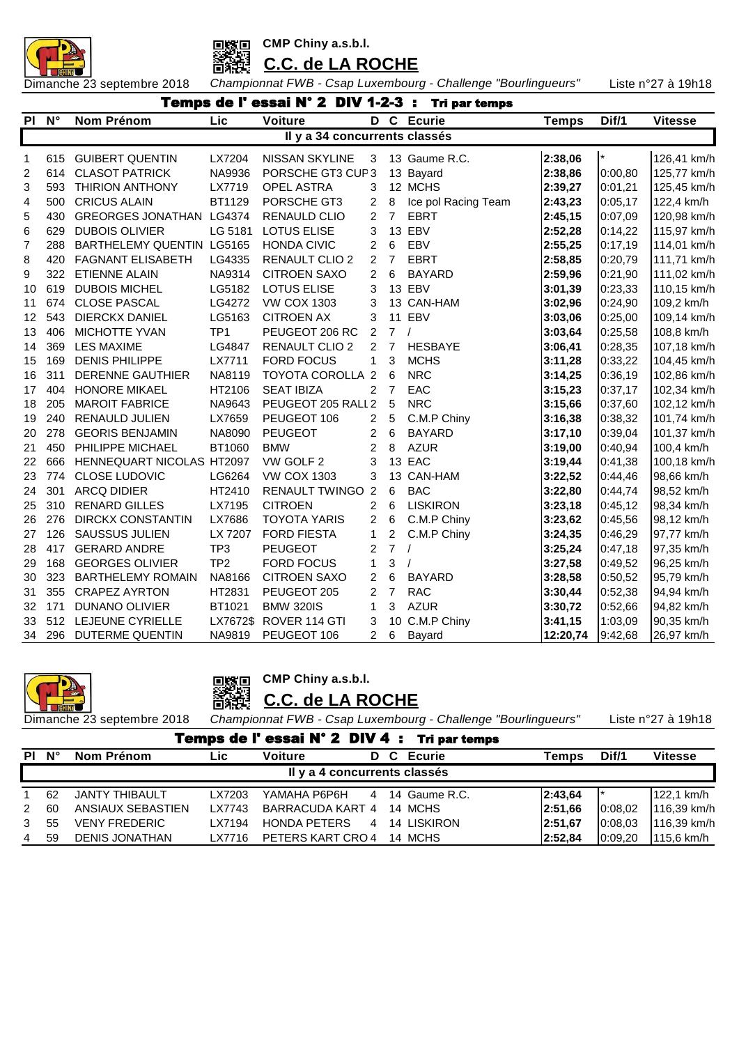



**C.C. de LA ROCHE**

Dimanche 23 septembre 2018 *Championnat FWB - Csap Luxembourg - Challenge "Bourlingueurs"* Liste n°27 à 19h18

|           | Temps de l'essai N° 2 DIV 1-2-3 :<br><b>Tri par temps</b><br>Lic<br>$N^{\circ}$<br>Nom Prénom<br>Voiture<br>D C Ecurie<br>Dif/1<br><b>Vitesse</b><br><b>Temps</b> |                           |                 |                               |                |                |                     |          |         |             |  |  |  |  |  |
|-----------|-------------------------------------------------------------------------------------------------------------------------------------------------------------------|---------------------------|-----------------|-------------------------------|----------------|----------------|---------------------|----------|---------|-------------|--|--|--|--|--|
| <b>PI</b> |                                                                                                                                                                   |                           |                 |                               |                |                |                     |          |         |             |  |  |  |  |  |
|           |                                                                                                                                                                   |                           |                 | Il y a 34 concurrents classés |                |                |                     |          |         |             |  |  |  |  |  |
| 1         | 615                                                                                                                                                               | <b>GUIBERT QUENTIN</b>    | LX7204          | <b>NISSAN SKYLINE</b>         | 3              |                | 13 Gaume R.C.       | 2:38,06  | $\star$ | 126,41 km/h |  |  |  |  |  |
| 2         | 614                                                                                                                                                               | <b>CLASOT PATRICK</b>     | NA9936          | PORSCHE GT3 CUP3              |                |                | 13 Bayard           | 2:38,86  | 0:00,80 | 125,77 km/h |  |  |  |  |  |
| 3         | 593                                                                                                                                                               | <b>THIRION ANTHONY</b>    | LX7719          | <b>OPEL ASTRA</b>             | 3              |                | 12 MCHS             | 2:39,27  | 0:01,21 | 125,45 km/h |  |  |  |  |  |
| 4         | 500                                                                                                                                                               | <b>CRICUS ALAIN</b>       | BT1129          | PORSCHE GT3                   | 2              | 8              | Ice pol Racing Team | 2:43,23  | 0:05,17 | 122,4 km/h  |  |  |  |  |  |
| 5         | 430                                                                                                                                                               | GREORGES JONATHAN LG4374  |                 | <b>RENAULD CLIO</b>           | 2              | $\overline{7}$ | <b>EBRT</b>         | 2:45,15  | 0:07,09 | 120,98 km/h |  |  |  |  |  |
| 6         | 629                                                                                                                                                               | <b>DUBOIS OLIVIER</b>     | LG 5181         | <b>LOTUS ELISE</b>            | 3              |                | 13 EBV              | 2:52,28  | 0:14,22 | 115,97 km/h |  |  |  |  |  |
| 7         | 288                                                                                                                                                               | BARTHELEMY QUENTIN LG5165 |                 | <b>HONDA CIVIC</b>            | 2              | 6              | EBV                 | 2:55,25  | 0:17,19 | 114,01 km/h |  |  |  |  |  |
| 8         | 420                                                                                                                                                               | <b>FAGNANT ELISABETH</b>  | LG4335          | <b>RENAULT CLIO 2</b>         | 2              | $\overline{7}$ | <b>EBRT</b>         | 2:58,85  | 0:20,79 | 111,71 km/h |  |  |  |  |  |
| 9         | 322                                                                                                                                                               | <b>ETIENNE ALAIN</b>      | NA9314          | <b>CITROEN SAXO</b>           | $\overline{2}$ | 6              | <b>BAYARD</b>       | 2:59,96  | 0:21,90 | 111,02 km/h |  |  |  |  |  |
| 10        | 619                                                                                                                                                               | <b>DUBOIS MICHEL</b>      | LG5182          | <b>LOTUS ELISE</b>            | 3              |                | 13 EBV              | 3:01,39  | 0:23,33 | 110,15 km/h |  |  |  |  |  |
| 11        | 674                                                                                                                                                               | <b>CLOSE PASCAL</b>       | LG4272          | <b>VW COX 1303</b>            | 3              |                | 13 CAN-HAM          | 3:02,96  | 0:24,90 | 109,2 km/h  |  |  |  |  |  |
| 12        | 543                                                                                                                                                               | DIERCKX DANIEL            | LG5163          | <b>CITROEN AX</b>             | 3              |                | 11 EBV              | 3:03,06  | 0:25,00 | 109,14 km/h |  |  |  |  |  |
| 13        | 406                                                                                                                                                               | MICHOTTE YVAN             | TP <sub>1</sub> | PEUGEOT 206 RC                | 2              | $\overline{7}$ | $\prime$            | 3:03,64  | 0:25,58 | 108,8 km/h  |  |  |  |  |  |
| 14        | 369                                                                                                                                                               | <b>LES MAXIME</b>         | LG4847          | <b>RENAULT CLIO 2</b>         | $\overline{2}$ | 7              | <b>HESBAYE</b>      | 3:06,41  | 0:28,35 | 107,18 km/h |  |  |  |  |  |
| 15        | 169                                                                                                                                                               | <b>DENIS PHILIPPE</b>     | LX7711          | <b>FORD FOCUS</b>             | 1              | 3              | <b>MCHS</b>         | 3:11,28  | 0:33,22 | 104,45 km/h |  |  |  |  |  |
| 16        | 311                                                                                                                                                               | <b>DERENNE GAUTHIER</b>   | NA8119          | TOYOTA COROLLA 2              |                | 6              | <b>NRC</b>          | 3:14,25  | 0:36,19 | 102,86 km/h |  |  |  |  |  |
| 17        | 404                                                                                                                                                               | <b>HONORE MIKAEL</b>      | HT2106          | <b>SEAT IBIZA</b>             | 2              | $\overline{7}$ | EAC                 | 3:15,23  | 0:37,17 | 102,34 km/h |  |  |  |  |  |
| 18        | 205                                                                                                                                                               | <b>MAROIT FABRICE</b>     | NA9643          | PEUGEOT 205 RALL 2            |                | 5              | <b>NRC</b>          | 3:15,66  | 0:37,60 | 102,12 km/h |  |  |  |  |  |
| 19        | 240                                                                                                                                                               | RENAULD JULIEN            | LX7659          | PEUGEOT 106                   | 2              | 5              | C.M.P Chiny         | 3:16,38  | 0:38,32 | 101,74 km/h |  |  |  |  |  |
| 20        | 278                                                                                                                                                               | <b>GEORIS BENJAMIN</b>    | NA8090          | <b>PEUGEOT</b>                | 2              | 6              | <b>BAYARD</b>       | 3:17,10  | 0:39,04 | 101,37 km/h |  |  |  |  |  |
| 21        | 450                                                                                                                                                               | PHILIPPE MICHAEL          | BT1060          | <b>BMW</b>                    | 2              | 8              | <b>AZUR</b>         | 3:19,00  | 0:40,94 | 100,4 km/h  |  |  |  |  |  |
| 22        | 666                                                                                                                                                               | HENNEQUART NICOLAS HT2097 |                 | VW GOLF 2                     | 3              |                | 13 EAC              | 3:19,44  | 0:41,38 | 100,18 km/h |  |  |  |  |  |
| 23        | 774                                                                                                                                                               | CLOSE LUDOVIC             | LG6264          | <b>VW COX 1303</b>            | 3              |                | 13 CAN-HAM          | 3:22,52  | 0:44,46 | 98,66 km/h  |  |  |  |  |  |
| 24        | 301                                                                                                                                                               | <b>ARCQ DIDIER</b>        | HT2410          | <b>RENAULT TWINGO 2</b>       |                | 6              | <b>BAC</b>          | 3:22,80  | 0:44,74 | 98,52 km/h  |  |  |  |  |  |
| 25        | 310                                                                                                                                                               | <b>RENARD GILLES</b>      | LX7195          | <b>CITROEN</b>                | 2              | 6              | <b>LISKIRON</b>     | 3:23,18  | 0:45,12 | 98,34 km/h  |  |  |  |  |  |
| 26        | 276                                                                                                                                                               | <b>DIRCKX CONSTANTIN</b>  | LX7686          | <b>TOYOTA YARIS</b>           | 2              | 6              | C.M.P Chiny         | 3:23,62  | 0:45,56 | 98,12 km/h  |  |  |  |  |  |
| 27        | 126                                                                                                                                                               | <b>SAUSSUS JULIEN</b>     | LX 7207         | <b>FORD FIESTA</b>            | 1              | 2              | C.M.P Chiny         | 3:24,35  | 0:46,29 | 97,77 km/h  |  |  |  |  |  |
| 28        | 417                                                                                                                                                               | <b>GERARD ANDRE</b>       | TP3             | <b>PEUGEOT</b>                | 2              | $\overline{7}$ | $\prime$            | 3:25,24  | 0:47,18 | 97,35 km/h  |  |  |  |  |  |
| 29        | 168                                                                                                                                                               | <b>GEORGES OLIVIER</b>    | TP <sub>2</sub> | <b>FORD FOCUS</b>             | 1              | 3              | $\prime$            | 3:27,58  | 0:49,52 | 96,25 km/h  |  |  |  |  |  |
| 30        | 323                                                                                                                                                               | <b>BARTHELEMY ROMAIN</b>  | NA8166          | <b>CITROEN SAXO</b>           | 2              | 6              | <b>BAYARD</b>       | 3:28,58  | 0:50,52 | 95,79 km/h  |  |  |  |  |  |
| 31        | 355                                                                                                                                                               | <b>CRAPEZ AYRTON</b>      | HT2831          | PEUGEOT 205                   | 2              | $\overline{7}$ | <b>RAC</b>          | 3:30,44  | 0:52,38 | 94,94 km/h  |  |  |  |  |  |
| 32        | 171                                                                                                                                                               | DUNANO OLIVIER            | BT1021          | <b>BMW 320IS</b>              | 1              | 3              | <b>AZUR</b>         | 3:30,72  | 0:52,66 | 94,82 km/h  |  |  |  |  |  |
| 33        | 512                                                                                                                                                               | LEJEUNE CYRIELLE          | LX7672\$        | ROVER 114 GTI                 | 3              |                | 10 C.M.P Chiny      | 3:41,15  | 1:03,09 | 90,35 km/h  |  |  |  |  |  |
| 34        | 296                                                                                                                                                               | DUTERME QUENTIN           | NA9819          | PEUGEOT 106                   | 2              | 6              | Bayard              | 12:20,74 | 9:42,68 | 26,97 km/h  |  |  |  |  |  |



**CMP Chiny a.s.b.l.** 回嫁回

**C.C. de LA ROCHE**

| Temps de l'essai N° 2 DIV 4 : Tri par temps |    |                       |        |                              |  |                 |         |         |                |  |  |  |
|---------------------------------------------|----|-----------------------|--------|------------------------------|--|-----------------|---------|---------|----------------|--|--|--|
| PI.                                         | N° | Nom Prénom            | Lic.   | <b>Voiture</b>               |  | D C Ecurie      | Temps   | Dif/1   | <b>Vitesse</b> |  |  |  |
|                                             |    |                       |        | Il y a 4 concurrents classés |  |                 |         |         |                |  |  |  |
|                                             | 62 | <b>JANTY THIBAULT</b> | LX7203 | YAMAHA P6P6H                 |  | 4 14 Gaume R.C. | 2:43,64 |         | 122,1 km/h     |  |  |  |
| $\mathcal{P}$                               | 60 | ANSIAUX SEBASTIEN     | LX7743 | BARRACUDA KART 4             |  | 14 MCHS         | 2:51.66 | 0:08.02 | 116,39 km/h    |  |  |  |
| 3                                           | 55 | <b>VENY FREDERIC</b>  | LX7194 | HONDA PETERS                 |  | 4 14 LISKIRON   | 2:51.67 | 0:08.03 | 116,39 km/h    |  |  |  |
| 4                                           | 59 | <b>DENIS JONATHAN</b> | LX7716 | PETERS KART CRO 4            |  | 14 MCHS         | 2:52,84 | 0:09,20 | 115,6 km/h     |  |  |  |
|                                             |    |                       |        |                              |  |                 |         |         |                |  |  |  |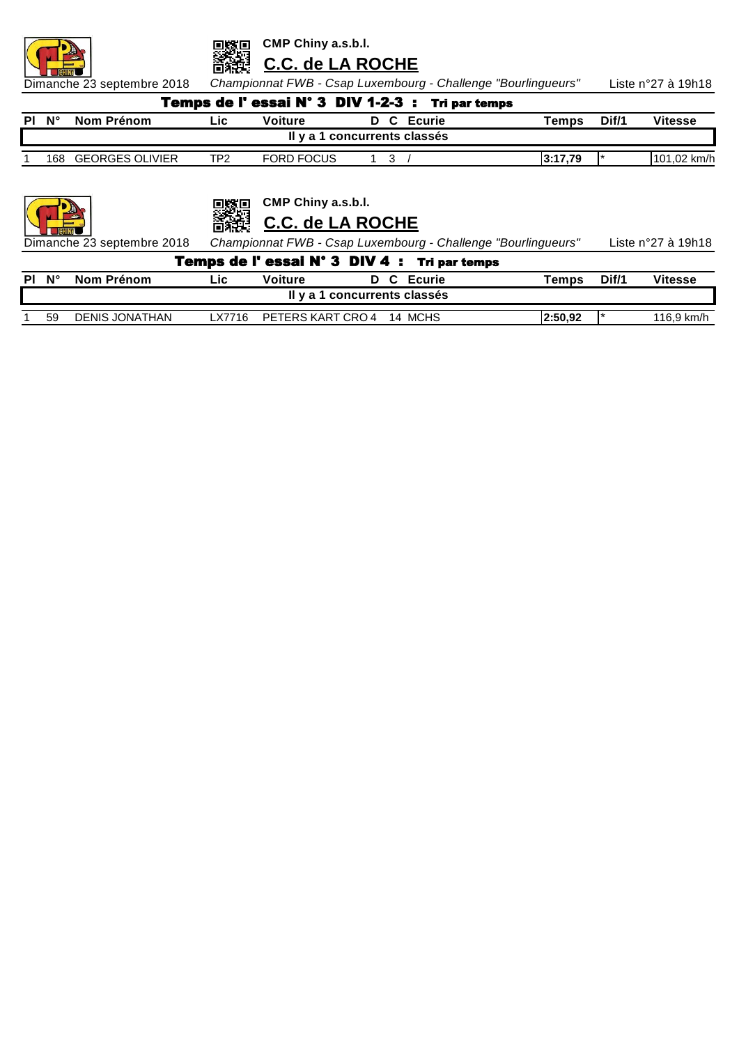

**C.C. de LA ROCHE**

Dimanche 23 septembre 2018 *Championnat FWB - Csap Luxembourg - Challenge "Bourlingueurs"* Liste n°27 à 19h18

| <b>Temps de l'essai N° 3 DIV 1-2-3 : Tri par temps</b> |                 |      |                   |                              |  |            |              |       |                |  |  |  |  |
|--------------------------------------------------------|-----------------|------|-------------------|------------------------------|--|------------|--------------|-------|----------------|--|--|--|--|
| PI N°                                                  | Nom Prénom      | ∟ic⊦ | Voiture           |                              |  | D C Ecurie | <b>Temps</b> | Dif/1 | <b>Vitesse</b> |  |  |  |  |
|                                                        |                 |      |                   | Il y a 1 concurrents classés |  |            |              |       |                |  |  |  |  |
| 168                                                    | GEORGES OLIVIER | TP2  | <b>FORD FOCUS</b> |                              |  |            | 3:17.79      |       | 101,02 km/h    |  |  |  |  |
|                                                        |                 |      |                   |                              |  |            |              |       |                |  |  |  |  |



**CMP Chiny a.s.b.l.** 恩嫁吗

▓▓ **C.C. de LA ROCHE**

Dimanche 23 septembre 2018 *Championnat FWB - Csap Luxembourg - Challenge "Bourlingueurs"* Liste n°27 à 19h18

 $\overline{\mathbf{I}}$ 

|    |                |        |                |                              | Temps de l'essai N° 3 DIV 4 : Tri par temps |         |       |            |
|----|----------------|--------|----------------|------------------------------|---------------------------------------------|---------|-------|------------|
| N° | Nom Prénom     | Lic    | <b>Voiture</b> |                              | D C Ecurie                                  | Temps   | Dif/1 | Vitesse    |
|    |                |        |                | Il y a 1 concurrents classés |                                             |         |       |            |
| 59 | DENIS JONATHAN | LX7716 |                | PETERS KART CRO 4 14 MCHS    |                                             | 2:50.92 |       | 116.9 km/h |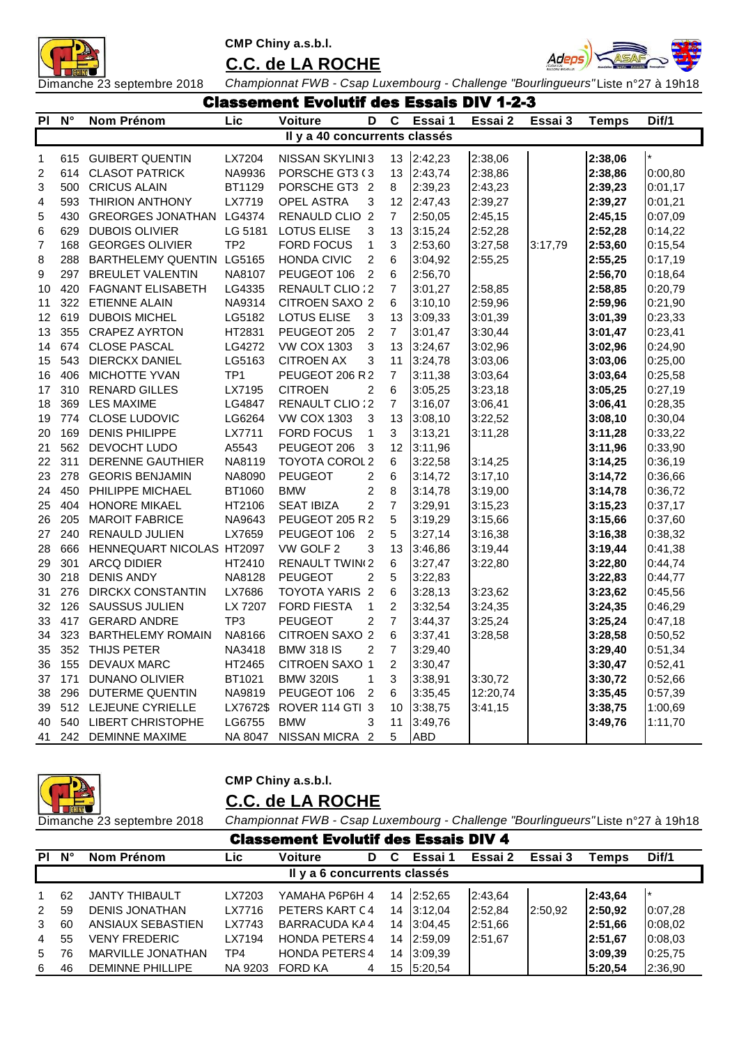

### **C.C. de LA ROCHE**



Dimanche 23 septembre 2018 *Championnat FWB - Csap Luxembourg - Challenge "Bourlingueurs"*Liste n°27 à 19h18 Classement Evolutif des Essais DIV 1-2-3

|                |     |                           | uass <del>c</del> iliei | L EVVIULII                    | 59             |                | <b>baais D</b> i | I 4 J    |         |              |         |
|----------------|-----|---------------------------|-------------------------|-------------------------------|----------------|----------------|------------------|----------|---------|--------------|---------|
| PI             | N°  | Nom Prénom                | Lic                     | Voiture                       | D              | C              | Essai 1          | Essai 2  | Essai 3 | <b>Temps</b> | Dif/1   |
|                |     |                           |                         | Il y a 40 concurrents classés |                |                |                  |          |         |              |         |
| 1              | 615 | <b>GUIBERT QUENTIN</b>    | LX7204                  | NISSAN SKYLINI 3              |                | 13             | 2:42,23          | 2:38,06  |         | 2:38,06      | $\star$ |
| 2              | 614 | <b>CLASOT PATRICK</b>     | NA9936                  | PORSCHE GT3 (3                |                | 13             | 2:43,74          | 2:38,86  |         | 2:38,86      | 0:00,80 |
| 3              | 500 | <b>CRICUS ALAIN</b>       | BT1129                  | PORSCHE GT3 2                 |                | 8              | 2:39,23          | 2:43,23  |         | 2:39,23      | 0:01,17 |
| 4              | 593 | <b>THIRION ANTHONY</b>    | LX7719                  | OPEL ASTRA                    | 3              | 12             | 2:47,43          | 2:39,27  |         | 2:39,27      | 0:01,21 |
| 5              | 430 | GREORGES JONATHAN LG4374  |                         | RENAULD CLIO 2                |                | $\overline{7}$ | 2:50,05          | 2:45,15  |         | 2:45,15      | 0:07,09 |
| 6              | 629 | <b>DUBOIS OLIVIER</b>     | LG 5181                 | <b>LOTUS ELISE</b>            | 3              | 13             | 3:15,24          | 2:52,28  |         | 2:52,28      | 0:14,22 |
| $\overline{7}$ | 168 | <b>GEORGES OLIVIER</b>    | TP <sub>2</sub>         | FORD FOCUS                    | 1              | 3              | 2:53,60          | 3:27,58  | 3:17,79 | 2:53,60      | 0:15,54 |
| 8              | 288 | BARTHELEMY QUENTIN LG5165 |                         | <b>HONDA CIVIC</b>            | $\overline{2}$ | 6              | 3:04,92          | 2:55,25  |         | 2:55,25      | 0:17,19 |
| 9              | 297 | <b>BREULET VALENTIN</b>   | NA8107                  | PEUGEOT 106                   | $\overline{2}$ | 6              | 2:56,70          |          |         | 2:56,70      | 0:18,64 |
| 10             | 420 | <b>FAGNANT ELISABETH</b>  | LG4335                  | RENAULT CLIO : 2              |                | 7              | 3:01,27          | 2:58,85  |         | 2:58,85      | 0:20,79 |
| 11             | 322 | <b>ETIENNE ALAIN</b>      | NA9314                  | <b>CITROEN SAXO 2</b>         |                | 6              | 3:10,10          | 2:59,96  |         | 2:59,96      | 0:21,90 |
| 12             | 619 | <b>DUBOIS MICHEL</b>      | LG5182                  | <b>LOTUS ELISE</b>            | 3              | 13             | 3:09,33          | 3:01,39  |         | 3:01,39      | 0:23,33 |
| 13             | 355 | <b>CRAPEZ AYRTON</b>      | HT2831                  | PEUGEOT 205                   | $\overline{c}$ | $\overline{7}$ | 3:01,47          | 3:30,44  |         | 3:01,47      | 0:23,41 |
| 14             | 674 | <b>CLOSE PASCAL</b>       | LG4272                  | <b>VW COX 1303</b>            | 3              | 13             | 3:24,67          | 3:02,96  |         | 3:02,96      | 0:24,90 |
| 15             | 543 | DIERCKX DANIEL            | LG5163                  | <b>CITROEN AX</b>             | 3              | 11             | 3:24,78          | 3:03,06  |         | 3:03,06      | 0:25,00 |
| 16             | 406 | <b>MICHOTTE YVAN</b>      | TP <sub>1</sub>         | PEUGEOT 206 R 2               |                | $\overline{7}$ | 3:11,38          | 3:03,64  |         | 3:03,64      | 0:25,58 |
| 17             | 310 | <b>RENARD GILLES</b>      | LX7195                  | <b>CITROEN</b>                | $\overline{2}$ | 6              | 3:05,25          | 3:23,18  |         | 3:05,25      | 0:27,19 |
| 18             | 369 | <b>LES MAXIME</b>         | LG4847                  | RENAULT CLIO : 2              |                | $\overline{7}$ | 3:16,07          | 3:06,41  |         | 3:06,41      | 0:28,35 |
| 19             | 774 | <b>CLOSE LUDOVIC</b>      | LG6264                  | <b>VW COX 1303</b>            | 3              | 13             | 3:08,10          | 3:22,52  |         | 3:08,10      | 0:30,04 |
| 20             | 169 | <b>DENIS PHILIPPE</b>     | LX7711                  | <b>FORD FOCUS</b>             | $\mathbf{1}$   | 3              | 3:13,21          | 3:11,28  |         | 3:11,28      | 0:33,22 |
| 21             | 562 | DEVOCHT LUDO              | A5543                   | PEUGEOT 206                   | 3              | 12             | 3:11,96          |          |         | 3:11,96      | 0:33,90 |
| 22             | 311 | DERENNE GAUTHIER          | NA8119                  | TOYOTA COROL 2                |                | 6              | 3:22,58          | 3:14,25  |         | 3:14,25      | 0:36,19 |
| 23             | 278 | <b>GEORIS BENJAMIN</b>    | NA8090                  | <b>PEUGEOT</b>                | 2              | 6              | 3:14,72          | 3:17,10  |         | 3:14,72      | 0:36,66 |
| 24             | 450 | PHILIPPE MICHAEL          | BT1060                  | <b>BMW</b>                    | 2              | 8              | 3:14,78          | 3:19,00  |         | 3:14,78      | 0:36,72 |
| 25             | 404 | <b>HONORE MIKAEL</b>      | HT2106                  | <b>SEAT IBIZA</b>             | $\overline{c}$ | $\overline{7}$ | 3:29,91          | 3:15,23  |         | 3:15,23      | 0:37,17 |
| 26             | 205 | <b>MAROIT FABRICE</b>     | NA9643                  | PEUGEOT 205 R 2               |                | 5              | 3:19,29          | 3:15,66  |         | 3:15,66      | 0:37,60 |
| 27             | 240 | RENAULD JULIEN            | LX7659                  | PEUGEOT 106                   | $\overline{2}$ | 5              | 3:27,14          | 3:16,38  |         | 3:16,38      | 0:38,32 |
| 28             | 666 | HENNEQUART NICOLAS HT2097 |                         | VW GOLF 2                     | 3              | 13             | 3:46,86          | 3:19,44  |         | 3:19,44      | 0:41,38 |
| 29             | 301 | <b>ARCQ DIDIER</b>        | HT2410                  | <b>RENAULT TWIN(2)</b>        |                | 6              | 3:27,47          | 3:22,80  |         | 3:22,80      | 0:44,74 |
| 30             | 218 | <b>DENIS ANDY</b>         | NA8128                  | <b>PEUGEOT</b>                | $\overline{2}$ | 5              | 3:22,83          |          |         | 3:22,83      | 0:44,77 |
| 31             | 276 | <b>DIRCKX CONSTANTIN</b>  | LX7686                  | TOYOTA YARIS 2                |                | 6              | 3:28,13          | 3:23,62  |         | 3:23,62      | 0:45,56 |
| 32             | 126 | <b>SAUSSUS JULIEN</b>     | LX 7207                 | <b>FORD FIESTA</b>            | $\mathbf{1}$   | $\overline{2}$ | 3:32,54          | 3:24,35  |         | 3:24,35      | 0:46,29 |
| 33             | 417 | <b>GERARD ANDRE</b>       | TP <sub>3</sub>         | <b>PEUGEOT</b>                | 2              | $\overline{7}$ | 3:44,37          | 3:25,24  |         | 3:25,24      | 0:47,18 |
| 34             | 323 | <b>BARTHELEMY ROMAIN</b>  | NA8166                  | CITROEN SAXO 2                |                | 6              | 3:37,41          | 3:28,58  |         | 3:28,58      | 0:50,52 |
| 35             | 352 | <b>THIJS PETER</b>        | NA3418                  | <b>BMW 318 IS</b>             | $\overline{2}$ | $\overline{7}$ | 3:29,40          |          |         | 3:29,40      | 0:51,34 |
| 36             | 155 | <b>DEVAUX MARC</b>        | HT2465                  | <b>CITROEN SAXO 1</b>         |                | $\overline{2}$ | 3:30,47          |          |         | 3:30,47      | 0:52,41 |
| 37             | 171 | <b>DUNANO OLIVIER</b>     | BT1021                  | <b>BMW 320IS</b>              | 1              | 3              | 3:38,91          | 3:30,72  |         | 3:30,72      | 0:52,66 |
| 38             | 296 | <b>DUTERME QUENTIN</b>    | NA9819                  | PEUGEOT 106                   | $\overline{2}$ | 6              | 3:35,45          | 12:20,74 |         | 3:35,45      | 0:57,39 |
| 39             | 512 | LEJEUNE CYRIELLE          | LX7672\$                | ROVER 114 GTI 3               |                | 10             | 3:38,75          | 3:41,15  |         | 3:38,75      | 1:00,69 |
| 40             | 540 | <b>LIBERT CHRISTOPHE</b>  | LG6755                  | <b>BMW</b>                    | 3              | 11             | 3:49,76          |          |         | 3:49,76      | 1:11,70 |
| 41             | 242 | <b>DEMINNE MAXIME</b>     | NA 8047                 | NISSAN MICRA 2                |                | 5              | <b>ABD</b>       |          |         |              |         |



# **CMP Chiny a.s.b.l.**

### **C.C. de LA ROCHE**

|                | <b>Classement Evolutif des Essais DIV 4</b> |                         |         |                              |   |    |            |         |         |          |         |  |  |
|----------------|---------------------------------------------|-------------------------|---------|------------------------------|---|----|------------|---------|---------|----------|---------|--|--|
| PI.            | $\mathsf{N}^\circ$                          | Nom Prénom              | Lic     | <b>Voiture</b>               | D | C  | Essai 1    | Essai 2 | Essai 3 | Temps    | Dif/1   |  |  |
|                |                                             |                         |         | Il y a 6 concurrents classés |   |    |            |         |         |          |         |  |  |
|                | 62                                          | <b>JANTY THIBAULT</b>   | LX7203  | YAMAHA P6P6H 4               |   |    | 14 2:52,65 | 2:43,64 |         | 2:43.64  | l *     |  |  |
| $2^{\circ}$    | 59                                          | <b>DENIS JONATHAN</b>   | LX7716  | PETERS KART C4               |   | 14 | 3:12,04    | 2:52,84 | 2:50,92 | 2:50,92  | 0:07,28 |  |  |
| 3              | 60                                          | ANSIAUX SEBASTIEN       | LX7743  | BARRACUDA KA4                |   | 14 | 3:04.45    | 2:51,66 |         | 2:51.66  | 0:08,02 |  |  |
| $\overline{4}$ | 55                                          | <b>VENY FREDERIC</b>    | LX7194  | <b>HONDA PETERS4</b>         |   |    | 14 2:59.09 | 2:51,67 |         | 2:51.67  | 0:08,03 |  |  |
| 5              | 76                                          | MARVILLE JONATHAN       | TP4     | <b>HONDA PETERS4</b>         |   | 14 | 3:09.39    |         |         | 13:09.39 | 0:25,75 |  |  |
| 6              | 46                                          | <b>DEMINNE PHILLIPE</b> | NA 9203 | <b>FORD KA</b>               | 4 | 15 | 5:20,54    |         |         | 5:20,54  | 2:36,90 |  |  |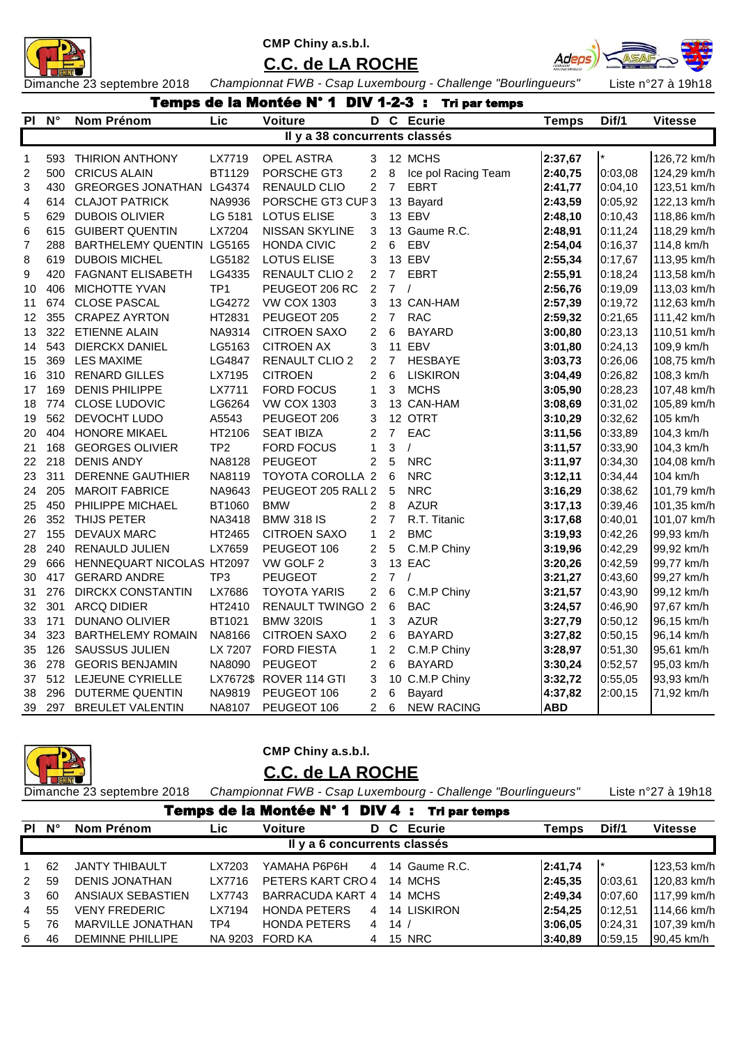



**C.C. de LA ROCHE**

Dimanche 23 septembre 2018 *Championnat FWB - Csap Luxembourg - Challenge "Bourlingueurs"* Liste n°27 à 19h18

|                         | <b>Temps de la Montée N° 1 DIV 1-2-3 :</b><br>Tri par temps<br>Lic<br><b>Voiture</b><br>D C Ecurie<br>Dif/1<br>N°<br>Nom Prénom<br><b>Temps</b><br><b>Vitesse</b> |                              |                 |                               |                |                |                     |            |         |             |  |  |  |  |
|-------------------------|-------------------------------------------------------------------------------------------------------------------------------------------------------------------|------------------------------|-----------------|-------------------------------|----------------|----------------|---------------------|------------|---------|-------------|--|--|--|--|
| <b>PI</b>               |                                                                                                                                                                   |                              |                 |                               |                |                |                     |            |         |             |  |  |  |  |
|                         |                                                                                                                                                                   |                              |                 | Il y a 38 concurrents classés |                |                |                     |            |         |             |  |  |  |  |
| 1                       |                                                                                                                                                                   | 593 THIRION ANTHONY          | LX7719          | <b>OPEL ASTRA</b>             | 3              |                | 12 MCHS             | 2:37,67    | $\star$ | 126,72 km/h |  |  |  |  |
| $\overline{\mathbf{c}}$ |                                                                                                                                                                   | 500 CRICUS ALAIN             | BT1129          | PORSCHE GT3                   | 2              | 8              | Ice pol Racing Team | 2:40,75    | 0:03,08 | 124,29 km/h |  |  |  |  |
| 3                       |                                                                                                                                                                   | 430 GREORGES JONATHAN LG4374 |                 | <b>RENAULD CLIO</b>           | 2              | $\overline{7}$ | <b>EBRT</b>         | 2:41,77    | 0:04,10 | 123,51 km/h |  |  |  |  |
| 4                       |                                                                                                                                                                   | 614 CLAJOT PATRICK           | NA9936          | PORSCHE GT3 CUP3              |                |                | 13 Bayard           | 2:43,59    | 0:05,92 | 122,13 km/h |  |  |  |  |
| 5                       | 629                                                                                                                                                               | <b>DUBOIS OLIVIER</b>        | LG 5181         | <b>LOTUS ELISE</b>            | 3              |                | 13 EBV              | 2:48,10    | 0:10,43 | 118,86 km/h |  |  |  |  |
| 6                       |                                                                                                                                                                   | 615 GUIBERT QUENTIN          | LX7204          | NISSAN SKYLINE                | 3              |                | 13 Gaume R.C.       | 2:48,91    | 0:11,24 | 118,29 km/h |  |  |  |  |
| 7                       | 288                                                                                                                                                               | BARTHELEMY QUENTIN LG5165    |                 | <b>HONDA CIVIC</b>            | 2              | 6              | EBV                 | 2:54,04    | 0:16,37 | 114,8 km/h  |  |  |  |  |
| 8                       | 619                                                                                                                                                               | <b>DUBOIS MICHEL</b>         | LG5182          | <b>LOTUS ELISE</b>            | 3              |                | 13 EBV              | 2:55,34    | 0:17,67 | 113,95 km/h |  |  |  |  |
| 9                       | 420                                                                                                                                                               | <b>FAGNANT ELISABETH</b>     | LG4335          | RENAULT CLIO 2                | 2              |                | 7 EBRT              | 2:55,91    | 0:18,24 | 113,58 km/h |  |  |  |  |
| 10                      | 406                                                                                                                                                               | MICHOTTE YVAN                | TP <sub>1</sub> | PEUGEOT 206 RC                | $\overline{c}$ | 7/             |                     | 2:56,76    | 0:19,09 | 113,03 km/h |  |  |  |  |
| 11                      | 674                                                                                                                                                               | <b>CLOSE PASCAL</b>          | LG4272          | <b>VW COX 1303</b>            | 3              |                | 13 CAN-HAM          | 2:57,39    | 0:19,72 | 112,63 km/h |  |  |  |  |
| 12                      | 355                                                                                                                                                               | <b>CRAPEZ AYRTON</b>         | HT2831          | PEUGEOT 205                   | $\overline{c}$ | $\overline{7}$ | <b>RAC</b>          | 2:59,32    | 0:21,65 | 111,42 km/h |  |  |  |  |
| 13                      | 322                                                                                                                                                               | <b>ETIENNE ALAIN</b>         | NA9314          | <b>CITROEN SAXO</b>           | $\overline{2}$ | 6              | <b>BAYARD</b>       | 3:00,80    | 0:23,13 | 110,51 km/h |  |  |  |  |
| 14                      | 543                                                                                                                                                               | <b>DIERCKX DANIEL</b>        | LG5163          | <b>CITROEN AX</b>             | 3              |                | 11 EBV              | 3:01,80    | 0:24,13 | 109,9 km/h  |  |  |  |  |
| 15                      | 369                                                                                                                                                               | <b>LES MAXIME</b>            | LG4847          | <b>RENAULT CLIO 2</b>         | $\overline{c}$ | $\overline{7}$ | <b>HESBAYE</b>      | 3:03,73    | 0:26,06 | 108,75 km/h |  |  |  |  |
| 16                      | 310                                                                                                                                                               | <b>RENARD GILLES</b>         | LX7195          | <b>CITROEN</b>                | $\overline{2}$ | 6              | <b>LISKIRON</b>     | 3:04,49    | 0:26,82 | 108,3 km/h  |  |  |  |  |
| 17                      | 169                                                                                                                                                               | <b>DENIS PHILIPPE</b>        | LX7711          | <b>FORD FOCUS</b>             | 1              | 3              | <b>MCHS</b>         | 3:05,90    | 0:28,23 | 107,48 km/h |  |  |  |  |
| 18                      | 774                                                                                                                                                               | <b>CLOSE LUDOVIC</b>         | LG6264          | <b>VW COX 1303</b>            | 3              |                | 13 CAN-HAM          | 3:08,69    | 0:31,02 | 105,89 km/h |  |  |  |  |
| 19                      | 562                                                                                                                                                               | DEVOCHT LUDO                 | A5543           | PEUGEOT 206                   | 3              |                | 12 OTRT             | 3:10,29    | 0:32,62 | 105 km/h    |  |  |  |  |
| 20                      | 404                                                                                                                                                               | <b>HONORE MIKAEL</b>         | HT2106          | <b>SEAT IBIZA</b>             | 2              | $\overline{7}$ | EAC                 | 3:11,56    | 0:33,89 | 104,3 km/h  |  |  |  |  |
| 21                      | 168                                                                                                                                                               | <b>GEORGES OLIVIER</b>       | TP <sub>2</sub> | <b>FORD FOCUS</b>             | 1              | 3              | $\prime$            | 3:11,57    | 0:33,90 | 104,3 km/h  |  |  |  |  |
| 22                      | 218                                                                                                                                                               | <b>DENIS ANDY</b>            | NA8128          | <b>PEUGEOT</b>                | 2              | 5              | <b>NRC</b>          | 3:11,97    | 0:34,30 | 104,08 km/h |  |  |  |  |
| 23                      | 311                                                                                                                                                               | <b>DERENNE GAUTHIER</b>      | NA8119          | TOYOTA COROLLA 2              |                | 6              | <b>NRC</b>          | 3:12,11    | 0:34,44 | 104 km/h    |  |  |  |  |
| 24                      | 205                                                                                                                                                               | <b>MAROIT FABRICE</b>        | NA9643          | PEUGEOT 205 RALL 2            |                | 5              | <b>NRC</b>          | 3:16,29    | 0:38,62 | 101,79 km/h |  |  |  |  |
| 25                      | 450                                                                                                                                                               | PHILIPPE MICHAEL             | BT1060          | <b>BMW</b>                    | 2              | 8              | <b>AZUR</b>         | 3:17,13    | 0:39,46 | 101,35 km/h |  |  |  |  |
| 26                      | 352                                                                                                                                                               | THIJS PETER                  | NA3418          | <b>BMW 318 IS</b>             | $\overline{c}$ | $\overline{7}$ | R.T. Titanic        | 3:17,68    | 0:40,01 | 101,07 km/h |  |  |  |  |
| 27                      | 155                                                                                                                                                               | <b>DEVAUX MARC</b>           | HT2465          | <b>CITROEN SAXO</b>           | $\mathbf{1}$   | $\overline{c}$ | <b>BMC</b>          | 3:19,93    | 0:42,26 | 99,93 km/h  |  |  |  |  |
| 28                      | 240                                                                                                                                                               | <b>RENAULD JULIEN</b>        | LX7659          | PEUGEOT 106                   | 2              | 5              | C.M.P Chiny         | 3:19,96    | 0:42,29 | 99,92 km/h  |  |  |  |  |
| 29                      | 666                                                                                                                                                               | HENNEQUART NICOLAS HT2097    |                 | VW GOLF 2                     | 3              |                | 13 EAC              | 3:20,26    | 0:42,59 | 99,77 km/h  |  |  |  |  |
| 30                      | 417                                                                                                                                                               | <b>GERARD ANDRE</b>          | TP3             | <b>PEUGEOT</b>                | 2              | $\overline{7}$ | $\sqrt{ }$          | 3:21,27    | 0:43,60 | 99,27 km/h  |  |  |  |  |
| 31                      | 276                                                                                                                                                               | <b>DIRCKX CONSTANTIN</b>     | LX7686          | <b>TOYOTA YARIS</b>           | 2              | 6              | C.M.P Chiny         | 3:21,57    | 0:43,90 | 99,12 km/h  |  |  |  |  |
| 32                      | 301                                                                                                                                                               | <b>ARCQ DIDIER</b>           | HT2410          | <b>RENAULT TWINGO 2</b>       |                | 6              | <b>BAC</b>          | 3:24,57    | 0:46,90 | 97,67 km/h  |  |  |  |  |
| 33                      | 171                                                                                                                                                               | <b>DUNANO OLIVIER</b>        | BT1021          | <b>BMW 320IS</b>              | 1              | 3              | <b>AZUR</b>         | 3:27,79    | 0:50,12 | 96,15 km/h  |  |  |  |  |
| 34                      | 323                                                                                                                                                               | <b>BARTHELEMY ROMAIN</b>     | NA8166          | CITROEN SAXO                  | 2              | 6              | <b>BAYARD</b>       | 3:27,82    | 0:50,15 | 96,14 km/h  |  |  |  |  |
| 35                      | 126                                                                                                                                                               | SAUSSUS JULIEN               | LX 7207         | <b>FORD FIESTA</b>            | $\mathbf{1}$   | $\overline{2}$ | C.M.P Chiny         | 3:28,97    | 0:51,30 | 95,61 km/h  |  |  |  |  |
| 36                      | 278                                                                                                                                                               | <b>GEORIS BENJAMIN</b>       | NA8090          | <b>PEUGEOT</b>                | 2              | 6              | <b>BAYARD</b>       | 3:30,24    | 0:52,57 | 95,03 km/h  |  |  |  |  |
| 37                      | 512                                                                                                                                                               | LEJEUNE CYRIELLE             | LX7672\$        | ROVER 114 GTI                 | 3              |                | 10 C.M.P Chiny      | 3:32,72    | 0:55,05 | 93,93 km/h  |  |  |  |  |
| 38                      | 296                                                                                                                                                               | <b>DUTERME QUENTIN</b>       | NA9819          | PEUGEOT 106                   | 2              | 6              | Bayard              | 4:37,82    | 2:00,15 | 71,92 km/h  |  |  |  |  |
| 39                      | 297                                                                                                                                                               | <b>BREULET VALENTIN</b>      | NA8107          | PEUGEOT 106                   | $\overline{2}$ | 6              | <b>NEW RACING</b>   | <b>ABD</b> |         |             |  |  |  |  |



**CMP Chiny a.s.b.l.**

# **C.C. de LA ROCHE**

Dimanche 23 septembre 2018 *Championnat FWB - Csap Luxembourg - Challenge "Bourlingueurs"* Liste n°27 à 19h18

|           | <b>Temps de la Montée N° 1 DIV 4 : Tri par temps</b> |                         |         |                              |  |          |                 |         |                |                |  |  |  |  |
|-----------|------------------------------------------------------|-------------------------|---------|------------------------------|--|----------|-----------------|---------|----------------|----------------|--|--|--|--|
|           | PI N°                                                | Nom Prénom              | Lic.    | <b>Voiture</b>               |  |          | D C Ecurie      | Temps   | Dif/1          | <b>Vitesse</b> |  |  |  |  |
|           |                                                      |                         |         | Il y a 6 concurrents classés |  |          |                 |         |                |                |  |  |  |  |
| $1 \quad$ | 62                                                   | <b>JANTY THIBAULT</b>   | LX7203  | ҮАМАНА Р6Р6Н                 |  |          | 4 14 Gaume R.C. | 2:41,74 | $\mathbf{I}$ * | 123,53 km/h    |  |  |  |  |
|           | 2 59                                                 | <b>DENIS JONATHAN</b>   | LX7716  | PETERS KART CRO 4            |  |          | 14 MCHS         | 2:45.35 | 10:03.61       | 120,83 km/h    |  |  |  |  |
|           | 3 60                                                 | ANSIAUX SEBASTIEN       | LX7743  | BARRACUDA KART 4             |  |          | 14 MCHS         | 2:49.34 | 0:07.60        | 117,99 km/h    |  |  |  |  |
| 4         | -55                                                  | <b>VENY FREDERIC</b>    | LX7194  | <b>HONDA PETERS</b>          |  |          | 4 14 LISKIRON   | 2:54.25 | 10:12.51       | 114,66 km/h    |  |  |  |  |
|           | 5 76                                                 | MARVILLE JONATHAN       | TP4     | <b>HONDA PETERS</b>          |  | $4 \t14$ |                 | 3:06.05 | 10:24.31       | 107,39 km/h    |  |  |  |  |
| 6         | 46                                                   | <b>DEMINNE PHILLIPE</b> | NA 9203 | <b>FORD KA</b>               |  |          | 4 15 NRC        | 3:40.89 | [0:59, 15]     | 90.45 km/h     |  |  |  |  |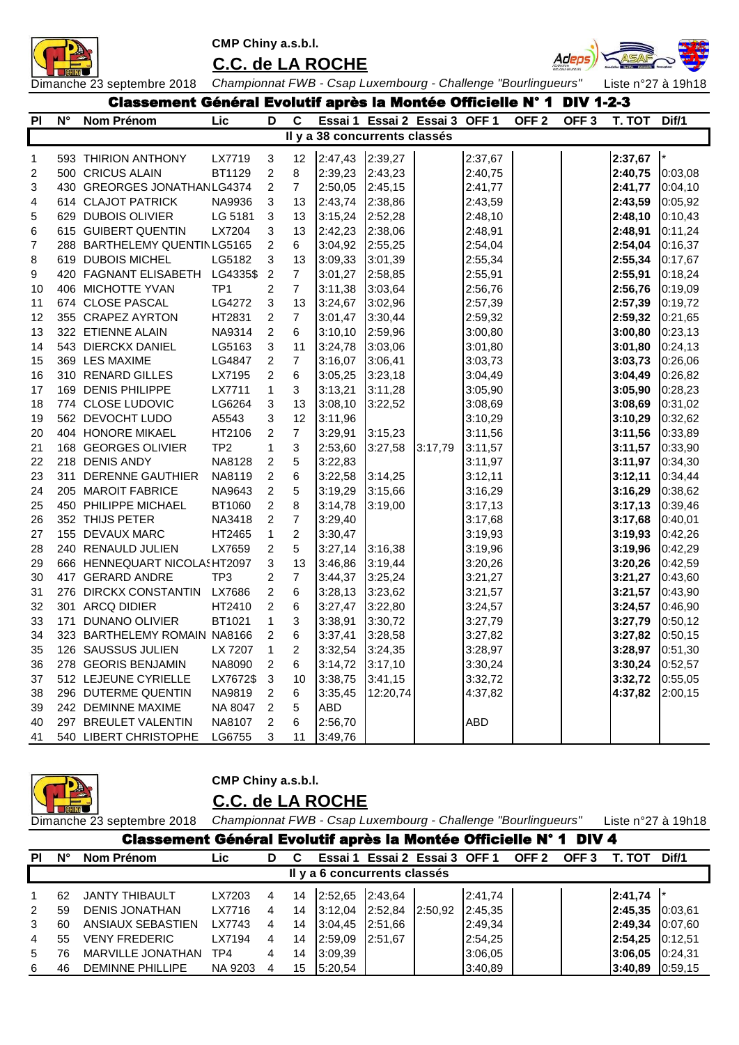

**C.C. de LA ROCHE**



|    | Classement Général Evolutif après la Montée Officielle N° 1 DIV 1-2-3<br>D<br>C<br>Essai 1 Essai 2 Essai 3 OFF 1 OFF 2<br>Ν° |                                |                 |                         |                         |            |                               |         |            |  |                  |         |                |  |
|----|------------------------------------------------------------------------------------------------------------------------------|--------------------------------|-----------------|-------------------------|-------------------------|------------|-------------------------------|---------|------------|--|------------------|---------|----------------|--|
| PI |                                                                                                                              | Nom Prénom                     | Lic             |                         |                         |            |                               |         |            |  | OFF <sub>3</sub> | T. TOT  | Dif/1          |  |
|    |                                                                                                                              |                                |                 |                         |                         |            | Il y a 38 concurrents classés |         |            |  |                  |         |                |  |
| 1  |                                                                                                                              | 593 THIRION ANTHONY            | LX7719          | 3                       | 12                      | 2:47,43    | 2:39,27                       |         | 2:37,67    |  |                  | 2:37,67 | $\mathsf{I}^*$ |  |
| 2  |                                                                                                                              | 500 CRICUS ALAIN               | BT1129          | 2                       | 8                       | 2:39,23    | 2:43,23                       |         | 2:40,75    |  |                  | 2:40,75 | 0:03,08        |  |
| 3  |                                                                                                                              | 430 GREORGES JONATHAN LG4374   |                 | 2                       | $\overline{7}$          | 2:50,05    | 2:45,15                       |         | 2:41,77    |  |                  | 2:41,77 | 0:04,10        |  |
| 4  |                                                                                                                              | 614 CLAJOT PATRICK             | NA9936          | 3                       | 13                      | 2:43,74    | 2:38,86                       |         | 2:43,59    |  |                  | 2:43,59 | 0:05,92        |  |
| 5  |                                                                                                                              | 629 DUBOIS OLIVIER             | LG 5181         | $\mathbf{3}$            | 13                      | 3:15,24    | 2:52,28                       |         | 2:48,10    |  |                  | 2:48,10 | 0:10,43        |  |
| 6  |                                                                                                                              | 615 GUIBERT QUENTIN            | LX7204          | 3                       | 13                      | 2:42,23    | 2:38,06                       |         | 2:48,91    |  |                  | 2:48,91 | 0:11,24        |  |
| 7  |                                                                                                                              | 288 BARTHELEMY QUENTIN LG5165  |                 | $\overline{c}$          | 6                       | 3:04,92    | 2:55,25                       |         | 2:54,04    |  |                  | 2:54,04 | 0:16,37        |  |
| 8  |                                                                                                                              | 619 DUBOIS MICHEL              | LG5182          | 3                       | 13                      | 3:09,33    | 3:01,39                       |         | 2:55,34    |  |                  | 2:55,34 | 0:17,67        |  |
| 9  |                                                                                                                              | 420 FAGNANT ELISABETH          | LG4335\$        | $\overline{2}$          | $\overline{7}$          | 3:01,27    | 2:58,85                       |         | 2:55,91    |  |                  | 2:55,91 | 0:18,24        |  |
| 10 |                                                                                                                              | 406 MICHOTTE YVAN              | TP <sub>1</sub> | $\overline{\mathbf{c}}$ | $\overline{7}$          | 3:11,38    | 3:03,64                       |         | 2:56,76    |  |                  | 2:56,76 | 0:19,09        |  |
| 11 |                                                                                                                              | 674 CLOSE PASCAL               | LG4272          | 3                       | 13                      | 3:24,67    | 3:02,96                       |         | 2:57,39    |  |                  | 2:57,39 | 0:19,72        |  |
| 12 |                                                                                                                              | 355 CRAPEZ AYRTON              | HT2831          | $\overline{\mathbf{c}}$ | $\overline{7}$          | 3:01,47    | 3:30,44                       |         | 2:59,32    |  |                  | 2:59,32 | 0:21,65        |  |
| 13 |                                                                                                                              | 322 ETIENNE ALAIN              | NA9314          | $\sqrt{2}$              | 6                       | 3:10,10    | 2:59,96                       |         | 3:00,80    |  |                  | 3:00,80 | 0:23,13        |  |
| 14 |                                                                                                                              | 543 DIERCKX DANIEL             | LG5163          | $\mathbf{3}$            | 11                      | 3:24,78    | 3:03,06                       |         | 3:01,80    |  |                  | 3:01,80 | 0:24,13        |  |
| 15 |                                                                                                                              | 369 LES MAXIME                 | LG4847          | $\overline{2}$          | $\overline{7}$          | 3:16,07    | 3:06,41                       |         | 3:03,73    |  |                  | 3:03,73 | 0:26,06        |  |
| 16 |                                                                                                                              | 310 RENARD GILLES              | LX7195          | $\overline{2}$          | 6                       | 3:05,25    | 3:23,18                       |         | 3:04,49    |  |                  | 3:04,49 | 0:26,82        |  |
| 17 |                                                                                                                              | 169 DENIS PHILIPPE             | LX7711          | $\mathbf{1}$            | 3                       | 3:13,21    | 3:11,28                       |         | 3:05,90    |  |                  | 3:05,90 | 0:28,23        |  |
| 18 |                                                                                                                              | 774 CLOSE LUDOVIC              | LG6264          | 3                       | 13                      | 3:08,10    | 3:22,52                       |         | 3:08,69    |  |                  | 3:08,69 | 0:31,02        |  |
| 19 |                                                                                                                              | 562 DEVOCHT LUDO               | A5543           | 3                       | 12                      | 3:11,96    |                               |         | 3:10,29    |  |                  | 3:10,29 | 0:32,62        |  |
| 20 |                                                                                                                              | 404 HONORE MIKAEL              | HT2106          | $\overline{c}$          | $\overline{7}$          | 3:29,91    | 3:15,23                       |         | 3:11,56    |  |                  | 3:11,56 | 0:33,89        |  |
| 21 |                                                                                                                              | 168 GEORGES OLIVIER            | TP <sub>2</sub> | 1                       | 3                       | 2:53,60    | 3:27,58                       | 3:17,79 | 3:11,57    |  |                  | 3:11,57 | 0:33,90        |  |
| 22 |                                                                                                                              | 218 DENIS ANDY                 | NA8128          | 2                       | 5                       | 3:22,83    |                               |         | 3:11,97    |  |                  | 3:11,97 | 0:34,30        |  |
| 23 |                                                                                                                              | 311 DERENNE GAUTHIER           | NA8119          | $\overline{\mathbf{c}}$ | 6                       | 3:22,58    | 3:14,25                       |         | 3:12,11    |  |                  | 3:12,11 | 0:34,44        |  |
| 24 |                                                                                                                              | 205 MAROIT FABRICE             | NA9643          | $\sqrt{2}$              | 5                       | 3:19,29    | 3:15,66                       |         | 3:16,29    |  |                  | 3:16,29 | 0:38,62        |  |
| 25 |                                                                                                                              | 450 PHILIPPE MICHAEL           | BT1060          | $\boldsymbol{2}$        | 8                       | 3:14,78    | 3:19,00                       |         | 3:17,13    |  |                  | 3:17,13 | 0:39,46        |  |
| 26 |                                                                                                                              | 352 THIJS PETER                | NA3418          | $\overline{c}$          | $\overline{\mathbf{7}}$ | 3:29,40    |                               |         | 3:17,68    |  |                  | 3:17,68 | 0:40,01        |  |
| 27 |                                                                                                                              | 155 DEVAUX MARC                | HT2465          | $\mathbf{1}$            | $\overline{c}$          | 3:30,47    |                               |         | 3:19,93    |  |                  | 3:19,93 | 0:42,26        |  |
| 28 |                                                                                                                              | 240 RENAULD JULIEN             | LX7659          | $\overline{\mathbf{c}}$ | 5                       | 3:27,14    | 3:16,38                       |         | 3:19,96    |  |                  | 3:19,96 | 0:42,29        |  |
| 29 |                                                                                                                              | 666 HENNEQUART NICOLA ! HT2097 |                 | 3                       | 13                      | 3:46,86    | 3:19,44                       |         | 3:20,26    |  |                  | 3:20,26 | 0:42,59        |  |
| 30 |                                                                                                                              | 417 GERARD ANDRE               | TP <sub>3</sub> | $\overline{\mathbf{c}}$ | $\overline{7}$          | 3:44,37    | 3:25,24                       |         | 3:21,27    |  |                  | 3:21,27 | 0:43,60        |  |
| 31 |                                                                                                                              | 276 DIRCKX CONSTANTIN          | LX7686          | $\overline{c}$          | 6                       | 3:28,13    | 3:23,62                       |         | 3:21,57    |  |                  | 3:21,57 | 0:43,90        |  |
| 32 |                                                                                                                              | 301 ARCQ DIDIER                | HT2410          | $\overline{c}$          | 6                       | 3:27,47    | 3:22,80                       |         | 3:24,57    |  |                  | 3:24,57 | 0:46,90        |  |
| 33 |                                                                                                                              | 171 DUNANO OLIVIER             | BT1021          | $\mathbf{1}$            | 3                       | 3:38,91    | 3:30,72                       |         | 3:27,79    |  |                  | 3:27,79 | 0:50,12        |  |
| 34 |                                                                                                                              | 323 BARTHELEMY ROMAIN NA8166   |                 | $\overline{c}$          | 6                       | 3:37,41    | 3:28,58                       |         | 3:27,82    |  |                  | 3:27,82 | 0:50,15        |  |
| 35 |                                                                                                                              | 126 SAUSSUS JULIEN             | LX 7207         | 1                       | 2                       | 3:32,54    | 3:24,35                       |         | 3:28,97    |  |                  | 3:28,97 | 0:51,30        |  |
| 36 |                                                                                                                              | 278 GEORIS BENJAMIN            | NA8090          | $\overline{2}$          | 6                       | 3:14,72    | 3:17,10                       |         | 3:30,24    |  |                  | 3:30,24 | 0:52,57        |  |
| 37 |                                                                                                                              | 512 LEJEUNE CYRIELLE           | LX7672\$        | $\mathbf{3}$            | 10                      | 3:38,75    | 3:41,15                       |         | 3:32,72    |  |                  | 3:32,72 | 0:55,05        |  |
| 38 |                                                                                                                              | 296 DUTERME QUENTIN            | NA9819          | $\overline{c}$          | 6                       | 3:35,45    | 12:20,74                      |         | 4:37,82    |  |                  | 4:37,82 | 2:00,15        |  |
| 39 |                                                                                                                              | 242 DEMINNE MAXIME             | NA 8047         | $\overline{c}$          | 5                       | <b>ABD</b> |                               |         |            |  |                  |         |                |  |
| 40 |                                                                                                                              | 297 BREULET VALENTIN           | NA8107          | $\overline{2}$          | 6                       | 2:56,70    |                               |         | <b>ABD</b> |  |                  |         |                |  |
| 41 |                                                                                                                              | 540 LIBERT CHRISTOPHE          | LG6755          | 3                       | 11                      | 3:49,76    |                               |         |            |  |                  |         |                |  |

|                |                                                                   |                            | CMP Chiny a.s.b.l.                                            |   |    |                |                               |         |         |                  |                  |                    |          |
|----------------|-------------------------------------------------------------------|----------------------------|---------------------------------------------------------------|---|----|----------------|-------------------------------|---------|---------|------------------|------------------|--------------------|----------|
|                |                                                                   |                            | <b>C.C. de LA ROCHE</b>                                       |   |    |                |                               |         |         |                  |                  |                    |          |
|                |                                                                   | Dimanche 23 septembre 2018 | Championnat FWB - Csap Luxembourg - Challenge "Bourlingueurs" |   |    |                |                               |         |         |                  |                  | Liste n°27 à 19h18 |          |
|                | Classement Général Evolutif après la Montée Officielle N° 1 DIV 4 |                            |                                                               |   |    |                |                               |         |         |                  |                  |                    |          |
| <b>PI</b>      | N°                                                                | Nom Prénom                 | Lic                                                           | D | C  |                | Essai 1 Essai 2 Essai 3 OFF 1 |         |         | OFF <sub>2</sub> | OFF <sub>3</sub> | T. TOT             | Dif/1    |
|                |                                                                   |                            |                                                               |   |    |                | Il y a 6 concurrents classés  |         |         |                  |                  |                    |          |
| 1              | 62                                                                | <b>JANTY THIBAULT</b>      | LX7203                                                        | 4 | 14 | 2:52.65        | 2:43.64                       |         | 2:41,74 |                  |                  | 2:41,74            |          |
| 2              | 59                                                                | <b>DENIS JONATHAN</b>      | LX7716                                                        | 4 | 14 | 3:12.04        | 2:52.84                       | 2:50.92 | 2:45,35 |                  |                  | 2:45.35            | 0:03.61  |
| 3              | 60                                                                | ANSIAUX SEBASTIEN          | LX7743                                                        | 4 | 14 | 3:04.45        | 2:51.66                       |         | 2:49,34 |                  |                  | 2:49.34            | 0:07.60  |
| $\overline{4}$ | 55                                                                | <b>VENY FREDERIC</b>       | LX7194                                                        | 4 | 14 | <b>2:59.09</b> | 2:51.67                       |         | 2:54,25 |                  |                  | 2:54.25            | 10:12.51 |
| 5              | 76                                                                | <b>MARVILLE JONATHAN</b>   | TP4                                                           | 4 | 14 | 3:09.39        |                               |         | 3:06.05 |                  |                  | 3:06.05            | 0:24.31  |
| 6              | 46                                                                | <b>DEMINNE PHILLIPE</b>    | NA 9203                                                       | 4 | 15 | 5:20.54        |                               |         | 3:40.89 |                  |                  | 3:40.89            | 0:59.15  |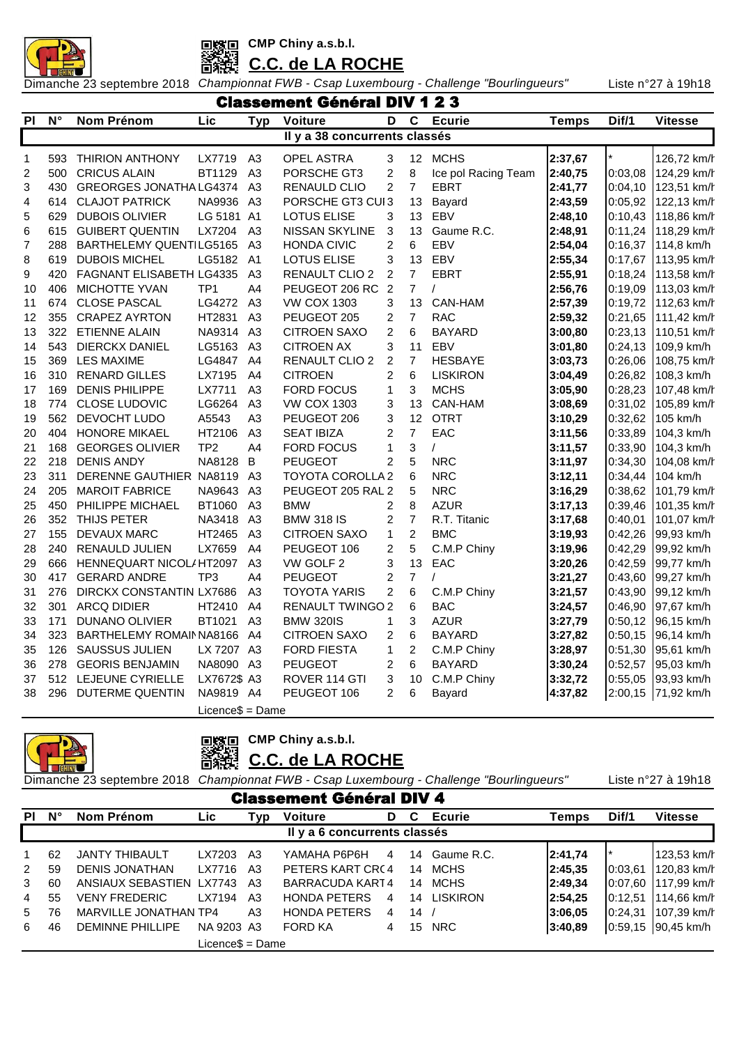



**C.C. de LA ROCHE**

Dimanche 23 septembre 2018 *Championnat FWB - Csap Luxembourg - Challenge "Bourlingueurs"* Liste n°27 à 19h18

|                | <b>Classement Général DIV 1 2 3</b> |                          |                     |                |                               |                |                         |                     |              |         |                |  |  |  |
|----------------|-------------------------------------|--------------------------|---------------------|----------------|-------------------------------|----------------|-------------------------|---------------------|--------------|---------|----------------|--|--|--|
| <b>PI</b>      | $N^{\circ}$                         | Nom Prénom               | Lic                 | <b>Typ</b>     | <b>Voiture</b>                | D              | $\overline{\mathbf{c}}$ | <b>Ecurie</b>       | <b>Temps</b> | Dif/1   | <b>Vitesse</b> |  |  |  |
|                |                                     |                          |                     |                | Il y a 38 concurrents classés |                |                         |                     |              |         |                |  |  |  |
| 1              | 593                                 | <b>THIRION ANTHONY</b>   | LX7719              | A <sub>3</sub> | <b>OPEL ASTRA</b>             | 3              |                         | 12 MCHS             | 2:37,67      |         | 126,72 km/h    |  |  |  |
| $\overline{c}$ | 500                                 | <b>CRICUS ALAIN</b>      | BT1129              | A <sub>3</sub> | PORSCHE GT3                   | $\overline{c}$ | 8                       | Ice pol Racing Team | 2:40,75      | 0:03,08 | 124,29 km/h    |  |  |  |
| 3              | 430                                 | GREORGES JONATHA LG4374  |                     | A <sub>3</sub> | RENAULD CLIO                  | $\overline{c}$ | $\overline{7}$          | <b>EBRT</b>         | 2:41,77      | 0:04,10 | 123,51 km/h    |  |  |  |
| 4              | 614                                 | <b>CLAJOT PATRICK</b>    | NA9936 A3           |                | PORSCHE GT3 CUI3              |                | 13                      | Bayard              | 2:43,59      | 0:05,92 | 122,13 km/h    |  |  |  |
| 5              | 629                                 | <b>DUBOIS OLIVIER</b>    | LG 5181 A1          |                | <b>LOTUS ELISE</b>            | 3              | 13                      | EBV                 | 2:48,10      | 0:10,43 | 118,86 km/h    |  |  |  |
| 6              | 615                                 | <b>GUIBERT QUENTIN</b>   | LX7204              | A <sub>3</sub> | NISSAN SKYLINE                | 3              | 13                      | Gaume R.C.          | 2:48,91      | 0:11,24 | 118,29 km/h    |  |  |  |
| $\overline{7}$ | 288                                 | BARTHELEMY QUENTILG5165  |                     | A <sub>3</sub> | <b>HONDA CIVIC</b>            | $\overline{2}$ | 6                       | EBV                 | 2:54,04      | 0:16,37 | 114,8 km/h     |  |  |  |
| 8              | 619                                 | <b>DUBOIS MICHEL</b>     | LG5182              | A <sub>1</sub> | <b>LOTUS ELISE</b>            | 3              | 13                      | EBV                 | 2:55,34      | 0:17,67 | 113,95 km/h    |  |  |  |
| 9              | 420                                 | FAGNANT ELISABETH LG4335 |                     | A3             | RENAULT CLIO 2                | $\overline{c}$ | $\overline{7}$          | <b>EBRT</b>         | 2:55,91      | 0:18,24 | 113,58 km/h    |  |  |  |
| 10             | 406                                 | <b>MICHOTTE YVAN</b>     | TP <sub>1</sub>     | A4             | PEUGEOT 206 RC 2              |                | $\overline{7}$          | $\prime$            | 2:56,76      | 0:19,09 | 113,03 km/h    |  |  |  |
| 11             | 674                                 | <b>CLOSE PASCAL</b>      | LG4272              | A <sub>3</sub> | <b>VW COX 1303</b>            | 3              | 13                      | CAN-HAM             | 2:57,39      | 0:19,72 | 112,63 km/h    |  |  |  |
| 12             | 355                                 | <b>CRAPEZ AYRTON</b>     | HT2831              | A <sub>3</sub> | PEUGEOT 205                   | 2              | $\overline{7}$          | <b>RAC</b>          | 2:59,32      | 0:21,65 | 111,42 km/h    |  |  |  |
| 13             | 322                                 | <b>ETIENNE ALAIN</b>     | NA9314              | A3             | <b>CITROEN SAXO</b>           | $\overline{c}$ | 6                       | <b>BAYARD</b>       | 3:00,80      | 0:23,13 | 110,51 km/h    |  |  |  |
| 14             | 543                                 | <b>DIERCKX DANIEL</b>    | LG5163              | A <sub>3</sub> | <b>CITROEN AX</b>             | 3              | 11                      | <b>EBV</b>          | 3:01,80      | 0:24,13 | 109,9 km/h     |  |  |  |
| 15             | 369                                 | <b>LES MAXIME</b>        | LG4847              | A4             | RENAULT CLIO 2                | $\overline{c}$ | 7                       | <b>HESBAYE</b>      | 3:03,73      | 0:26,06 | 108,75 km/h    |  |  |  |
| 16             | 310                                 | <b>RENARD GILLES</b>     | LX7195              | A4             | <b>CITROEN</b>                | $\overline{c}$ | 6                       | <b>LISKIRON</b>     | 3:04,49      | 0:26,82 | 108,3 km/h     |  |  |  |
| 17             | 169                                 | <b>DENIS PHILIPPE</b>    | LX7711              | A <sub>3</sub> | <b>FORD FOCUS</b>             | 1              | 3                       | <b>MCHS</b>         | 3:05,90      | 0:28,23 | 107,48 km/h    |  |  |  |
| 18             | 774                                 | <b>CLOSE LUDOVIC</b>     | LG6264              | A <sub>3</sub> | <b>VW COX 1303</b>            | 3              | 13                      | CAN-HAM             | 3:08,69      | 0:31,02 | 105,89 km/h    |  |  |  |
| 19             | 562                                 | DEVOCHT LUDO             | A5543               | A <sub>3</sub> | PEUGEOT 206                   | 3              | 12                      | <b>OTRT</b>         | 3:10,29      | 0:32,62 | 105 km/h       |  |  |  |
| 20             | 404                                 | <b>HONORE MIKAEL</b>     | HT2106              | A3             | <b>SEAT IBIZA</b>             | $\overline{c}$ | $\overline{7}$          | EAC                 | 3:11,56      | 0:33,89 | 104,3 km/h     |  |  |  |
| 21             | 168                                 | <b>GEORGES OLIVIER</b>   | TP <sub>2</sub>     | A <sub>4</sub> | <b>FORD FOCUS</b>             | $\mathbf{1}$   | 3                       | $\prime$            | 3:11,57      | 0:33,90 | 104,3 km/h     |  |  |  |
| 22             | 218                                 | <b>DENIS ANDY</b>        | NA8128              | B              | <b>PEUGEOT</b>                | $\overline{2}$ | 5                       | <b>NRC</b>          | 3:11,97      | 0:34,30 | 104,08 km/h    |  |  |  |
| 23             | 311                                 | DERENNE GAUTHIER NA8119  |                     | A <sub>3</sub> | <b>TOYOTA COROLLA 2</b>       |                | $\,6$                   | <b>NRC</b>          | 3:12,11      | 0:34,44 | 104 km/h       |  |  |  |
| 24             | 205                                 | <b>MAROIT FABRICE</b>    | NA9643              | A <sub>3</sub> | PEUGEOT 205 RAL 2             |                | 5                       | <b>NRC</b>          | 3:16,29      | 0:38,62 | 101,79 km/h    |  |  |  |
| 25             | 450                                 | PHILIPPE MICHAEL         | BT1060              | A <sub>3</sub> | <b>BMW</b>                    | 2              | 8                       | <b>AZUR</b>         | 3:17,13      | 0:39,46 | 101,35 km/h    |  |  |  |
| 26             | 352                                 | THIJS PETER              | NA3418              | A <sub>3</sub> | <b>BMW 318 IS</b>             | 2              | $\overline{7}$          | R.T. Titanic        | 3:17,68      | 0:40,01 | 101,07 km/h    |  |  |  |
| 27             | 155                                 | <b>DEVAUX MARC</b>       | HT2465              | A3             | <b>CITROEN SAXO</b>           | $\mathbf{1}$   | $\overline{2}$          | <b>BMC</b>          | 3:19,93      | 0:42,26 | 99,93 km/h     |  |  |  |
| 28             | 240                                 | <b>RENAULD JULIEN</b>    | LX7659              | A4             | PEUGEOT 106                   | $\overline{c}$ | 5                       | C.M.P Chiny         | 3:19,96      | 0:42,29 | 99,92 km/h     |  |  |  |
| 29             | 666                                 | HENNEQUART NICOL/HT2097  |                     | A <sub>3</sub> | VW GOLF 2                     | 3              | 13                      | EAC                 | 3:20,26      | 0:42,59 | 99,77 km/h     |  |  |  |
| 30             | 417                                 | <b>GERARD ANDRE</b>      | TP <sub>3</sub>     | A4             | <b>PEUGEOT</b>                | $\overline{c}$ | $\overline{7}$          | $\prime$            | 3:21,27      | 0:43,60 | 99,27 km/h     |  |  |  |
| 31             | 276                                 | DIRCKX CONSTANTIN LX7686 |                     | A <sub>3</sub> | <b>TOYOTA YARIS</b>           | $\overline{2}$ | $6\phantom{1}$          | C.M.P Chiny         | 3:21,57      | 0:43,90 | 99,12 km/h     |  |  |  |
| 32             | 301                                 | <b>ARCQ DIDIER</b>       | HT2410              | A4             | <b>RENAULT TWINGO 2</b>       |                | 6                       | <b>BAC</b>          | 3:24,57      | 0:46,90 | 97,67 km/h     |  |  |  |
| 33             | 171                                 | DUNANO OLIVIER           | BT1021              | A3             | <b>BMW 320IS</b>              | $\mathbf{1}$   | 3                       | <b>AZUR</b>         | 3:27,79      | 0:50,12 | 96,15 km/h     |  |  |  |
| 34             | 323                                 | BARTHELEMY ROMAIN NA8166 |                     | A4             | <b>CITROEN SAXO</b>           | 2              | 6                       | <b>BAYARD</b>       | 3:27,82      | 0:50,15 | 96,14 km/h     |  |  |  |
| 35             | 126                                 | <b>SAUSSUS JULIEN</b>    | LX 7207 A3          |                | <b>FORD FIESTA</b>            | $\mathbf{1}$   | $\overline{c}$          | C.M.P Chiny         | 3:28,97      | 0:51,30 | 95,61 km/h     |  |  |  |
| 36             | 278                                 | <b>GEORIS BENJAMIN</b>   | NA8090              | A3             | <b>PEUGEOT</b>                | $\overline{c}$ | $\,6$                   | <b>BAYARD</b>       | 3:30,24      | 0:52,57 | 95,03 km/h     |  |  |  |
| 37             | 512                                 | LEJEUNE CYRIELLE         | LX7672\$ A3         |                | ROVER 114 GTI                 | 3              | 10                      | C.M.P Chiny         | 3:32,72      | 0:55,05 | 93,93 km/h     |  |  |  |
| 38             | 296                                 | <b>DUTERME QUENTIN</b>   | NA9819              | A4             | PEUGEOT 106                   | $\overline{2}$ | 6                       | Bayard              | 4:37,82      | 2:00,15 | 71,92 km/h     |  |  |  |
|                |                                     |                          | $Licence$ \$ = Dame |                |                               |                |                         |                     |              |         |                |  |  |  |

**CMP Chiny a.s.b.l.** ■ 深海

**C.C. de LA ROCHE**

|  |  |  | Liste n°27 à 19h18 |
|--|--|--|--------------------|
|--|--|--|--------------------|

|               | <b>Classement Général DIV 4</b> |                          |                  |     |                     |                |    |               |         |          |                    |  |  |
|---------------|---------------------------------|--------------------------|------------------|-----|---------------------|----------------|----|---------------|---------|----------|--------------------|--|--|
| <b>PI</b>     | $\mathsf{N}^\circ$              | <b>Nom Prénom</b>        | Lic              | Typ | <b>Voiture</b>      | D              | C  | <b>Ecurie</b> | Temps   | Dif/1    | <b>Vitesse</b>     |  |  |
|               | Il y a 6 concurrents classés    |                          |                  |     |                     |                |    |               |         |          |                    |  |  |
|               | 62                              | <b>JANTY THIBAULT</b>    | LX7203           | A3  | ҮАМАНА Р6Р6Н        | $\overline{4}$ | 14 | Gaume R.C.    | 2:41,74 |          | 123,53 km/h        |  |  |
| $\mathcal{P}$ | 59                              | <b>DENIS JONATHAN</b>    | LX7716           | A3  | PETERS KART CRC4    |                | 14 | <b>MCHS</b>   | 2:45.35 | 10:03.61 | 120,83 km/h        |  |  |
| 3             | 60                              | ANSIAUX SEBASTIEN LX7743 |                  | A3  | BARRACUDA KART4     |                | 14 | MCHS.         | 2:49,34 | 10:07.60 | 117,99 km/h        |  |  |
| 4             | 55                              | <b>VENY FREDERIC</b>     | LX7194           | A3  | <b>HONDA PETERS</b> | 4              |    | 14 LISKIRON   | 2:54.25 | 10:12.51 | 114.66 km/h        |  |  |
| 5             | 76                              | MARVILLE JONATHAN TP4    |                  | A3  | <b>HONDA PETERS</b> | $\overline{4}$ | 14 |               | 3:06.05 | 10:24.31 | 107.39 km/h        |  |  |
| 6             | 46                              | <b>DEMINNE PHILLIPE</b>  | NA 9203 A3       |     | FORD KA             | 4              | 15 | <b>NRC</b>    | 3:40.89 |          | 0:59,15 90,45 km/h |  |  |
|               |                                 |                          | Licence\$ = Dame |     |                     |                |    |               |         |          |                    |  |  |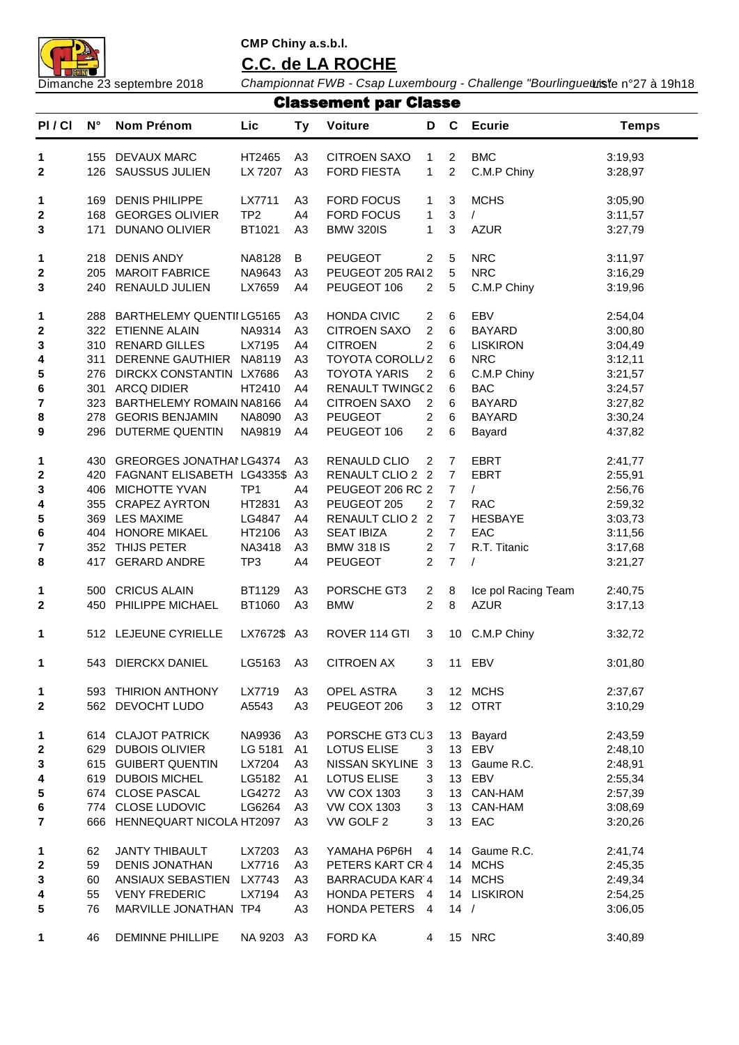

# **C.C. de LA ROCHE**

|              |             |                                |                 |                | <b>Classement par Classe</b> |                |                         |                     |              |
|--------------|-------------|--------------------------------|-----------------|----------------|------------------------------|----------------|-------------------------|---------------------|--------------|
| PI/CI        | $N^{\circ}$ | Nom Prénom                     | Lic             | <b>Ty</b>      | <b>Voiture</b>               | D              | $\mathbf c$             | <b>Ecurie</b>       | <b>Temps</b> |
| 1            | 155         | DEVAUX MARC                    | HT2465          | A <sub>3</sub> | <b>CITROEN SAXO</b>          | 1              | $\overline{\mathbf{c}}$ | <b>BMC</b>          | 3:19,93      |
| $\mathbf{2}$ | 126         | <b>SAUSSUS JULIEN</b>          | LX 7207         | A <sub>3</sub> | <b>FORD FIESTA</b>           | 1              | $\overline{c}$          | C.M.P Chiny         | 3:28,97      |
| 1            | 169         | <b>DENIS PHILIPPE</b>          | LX7711          | A <sub>3</sub> | <b>FORD FOCUS</b>            | 1              | 3                       | <b>MCHS</b>         | 3:05,90      |
| $\mathbf 2$  | 168         | <b>GEORGES OLIVIER</b>         | TP <sub>2</sub> | A4             | <b>FORD FOCUS</b>            | 1              | 3                       | $\prime$            | 3:11,57      |
| 3            | 171         | DUNANO OLIVIER                 | BT1021          | A <sub>3</sub> | <b>BMW 320IS</b>             | 1              | 3                       | <b>AZUR</b>         | 3:27,79      |
| 1            | 218         | <b>DENIS ANDY</b>              | NA8128          | B              | <b>PEUGEOT</b>               | $\overline{2}$ | 5                       | <b>NRC</b>          | 3:11,97      |
| $\mathbf 2$  | 205         | <b>MAROIT FABRICE</b>          | NA9643          | A <sub>3</sub> | PEUGEOT 205 RAI 2            |                | 5                       | <b>NRC</b>          | 3:16,29      |
| 3            | 240         | RENAULD JULIEN                 | LX7659          | A4             | PEUGEOT 106                  | 2              | 5                       | C.M.P Chiny         | 3:19,96      |
| 1            | 288         | BARTHELEMY QUENTII LG5165      |                 | A <sub>3</sub> | <b>HONDA CIVIC</b>           | $\overline{2}$ | 6                       | EBV                 | 2:54,04      |
| 2            | 322         | <b>ETIENNE ALAIN</b>           | NA9314          | A <sub>3</sub> | <b>CITROEN SAXO</b>          | $\overline{2}$ | 6                       | <b>BAYARD</b>       | 3:00,80      |
| 3            | 310         | <b>RENARD GILLES</b>           | LX7195          | A4             | <b>CITROEN</b>               | $\overline{2}$ | 6                       | <b>LISKIRON</b>     | 3:04,49      |
| 4            | 311         | DERENNE GAUTHIER               | NA8119          | A <sub>3</sub> | <b>TOYOTA COROLL/2</b>       |                | 6                       | <b>NRC</b>          | 3:12,11      |
| 5            | 276         | DIRCKX CONSTANTIN LX7686       |                 | A <sub>3</sub> | <b>TOYOTA YARIS</b>          | 2              | 6                       | C.M.P Chiny         | 3:21,57      |
| 6            | 301         | <b>ARCQ DIDIER</b>             | HT2410          | A4             | <b>RENAULT TWING(2)</b>      |                | 6                       | <b>BAC</b>          | 3:24,57      |
| 7            | 323         | BARTHELEMY ROMAIN NA8166       |                 | A4             | <b>CITROEN SAXO</b>          | $\overline{2}$ | 6                       | <b>BAYARD</b>       | 3:27,82      |
| 8            | 278         | <b>GEORIS BENJAMIN</b>         | NA8090          | A <sub>3</sub> | <b>PEUGEOT</b>               | 2              | 6                       | <b>BAYARD</b>       | 3:30,24      |
| 9            | 296         | <b>DUTERME QUENTIN</b>         | NA9819          | A4             | PEUGEOT 106                  | 2              | 6                       | Bayard              | 4:37,82      |
| 1            | 430         | <b>GREORGES JONATHAILG4374</b> |                 | A <sub>3</sub> | RENAULD CLIO                 | 2              | 7                       | <b>EBRT</b>         | 2:41,77      |
| $\mathbf 2$  | 420         | FAGNANT ELISABETH LG4335\$ A3  |                 |                | RENAULT CLIO 2 2             |                | $\overline{7}$          | <b>EBRT</b>         | 2:55,91      |
| 3            | 406         | MICHOTTE YVAN                  | TP <sub>1</sub> | A4             | PEUGEOT 206 RC 2             |                | $\overline{7}$          | $\prime$            | 2:56,76      |
| 4            | 355         | <b>CRAPEZ AYRTON</b>           | HT2831          | A <sub>3</sub> | PEUGEOT 205                  | 2              | $\overline{7}$          | <b>RAC</b>          | 2:59,32      |
| 5            | 369         | <b>LES MAXIME</b>              | LG4847          | A4             | RENAULT CLIO 2 2             |                | $\overline{7}$          | <b>HESBAYE</b>      | 3:03,73      |
| 6            | 404         | <b>HONORE MIKAEL</b>           | HT2106          | A <sub>3</sub> | <b>SEAT IBIZA</b>            | $\overline{c}$ | $\overline{7}$          | EAC                 | 3:11,56      |
| 7            | 352         | THIJS PETER                    | NA3418          | A <sub>3</sub> | <b>BMW 318 IS</b>            | $\overline{c}$ | $\overline{7}$          | R.T. Titanic        | 3:17,68      |
| 8            | 417         | <b>GERARD ANDRE</b>            | TP <sub>3</sub> | A4             | <b>PEUGEOT</b>               | $\overline{c}$ | $\overline{7}$          |                     | 3:21,27      |
| 1            | 500         | <b>CRICUS ALAIN</b>            | BT1129          | A <sub>3</sub> | PORSCHE GT3                  | $\overline{2}$ | 8                       | Ice pol Racing Team | 2:40,75      |
| $\mathbf{2}$ | 450         | PHILIPPE MICHAEL               | BT1060          | A <sub>3</sub> | <b>BMW</b>                   | 2              | 8                       | <b>AZUR</b>         | 3:17,13      |
| 1            |             | 512 LEJEUNE CYRIELLE           | LX7672\$        | A3             | ROVER 114 GTI                | 3              | 10                      | C.M.P Chiny         | 3:32,72      |
| 1            |             | 543 DIERCKX DANIEL             | LG5163          | A <sub>3</sub> | <b>CITROEN AX</b>            | 3              | 11                      | EBV                 | 3:01,80      |
| 1            | 593         | <b>THIRION ANTHONY</b>         | LX7719          | A <sub>3</sub> | OPEL ASTRA                   | 3              | 12                      | <b>MCHS</b>         | 2:37,67      |
| $\mathbf 2$  |             | 562 DEVOCHT LUDO               | A5543           | A <sub>3</sub> | PEUGEOT 206                  | 3              |                         | 12 OTRT             | 3:10,29      |
| 1            |             | 614 CLAJOT PATRICK             | NA9936          | A <sub>3</sub> | PORSCHE GT3 CU3              |                | 13                      | Bayard              | 2:43,59      |
| 2            |             | 629 DUBOIS OLIVIER             | LG 5181         | A <sub>1</sub> | <b>LOTUS ELISE</b>           | 3              |                         | 13 EBV              | 2:48,10      |
| 3            |             | 615 GUIBERT QUENTIN            | LX7204          | A <sub>3</sub> | NISSAN SKYLINE 3             |                | 13                      | Gaume R.C.          | 2:48,91      |
| 4            |             | 619 DUBOIS MICHEL              | LG5182          | A1             | <b>LOTUS ELISE</b>           | 3              |                         | 13 EBV              | 2:55,34      |
| 5            |             | 674 CLOSE PASCAL               | LG4272          | A <sub>3</sub> | <b>VW COX 1303</b>           | 3              | 13 <sup>13</sup>        | CAN-HAM             | 2:57,39      |
| 6            | 774         | <b>CLOSE LUDOVIC</b>           | LG6264          | A <sub>3</sub> | <b>VW COX 1303</b>           | $\mathbf{3}$   | 13                      | CAN-HAM             | 3:08,69      |
| 7            | 666         | HENNEQUART NICOLA HT2097       |                 | A <sub>3</sub> | VW GOLF 2                    | 3              | 13                      | EAC                 | 3:20,26      |
| 1            | 62          | JANTY THIBAULT                 | LX7203          | A <sub>3</sub> | YAMAHA P6P6H                 | 4              | 14                      | Gaume R.C.          | 2:41,74      |
| 2            | 59          | <b>DENIS JONATHAN</b>          | LX7716          | A <sub>3</sub> | PETERS KART CRI4             |                | 14                      | <b>MCHS</b>         | 2:45,35      |
| 3            | 60          | ANSIAUX SEBASTIEN              | LX7743          | A <sub>3</sub> | <b>BARRACUDA KAR 4</b>       |                | 14                      | <b>MCHS</b>         | 2:49,34      |
| 4            | 55          | <b>VENY FREDERIC</b>           | LX7194          | A <sub>3</sub> | HONDA PETERS 4               |                | 14                      | <b>LISKIRON</b>     | 2:54,25      |
| 5            | 76          | MARVILLE JONATHAN TP4          |                 | A <sub>3</sub> | HONDA PETERS 4               |                | $14$ /                  |                     | 3:06,05      |
| 1            | 46          | <b>DEMINNE PHILLIPE</b>        | NA 9203 A3      |                | FORD KA                      | 4              |                         | 15 NRC              | 3:40,89      |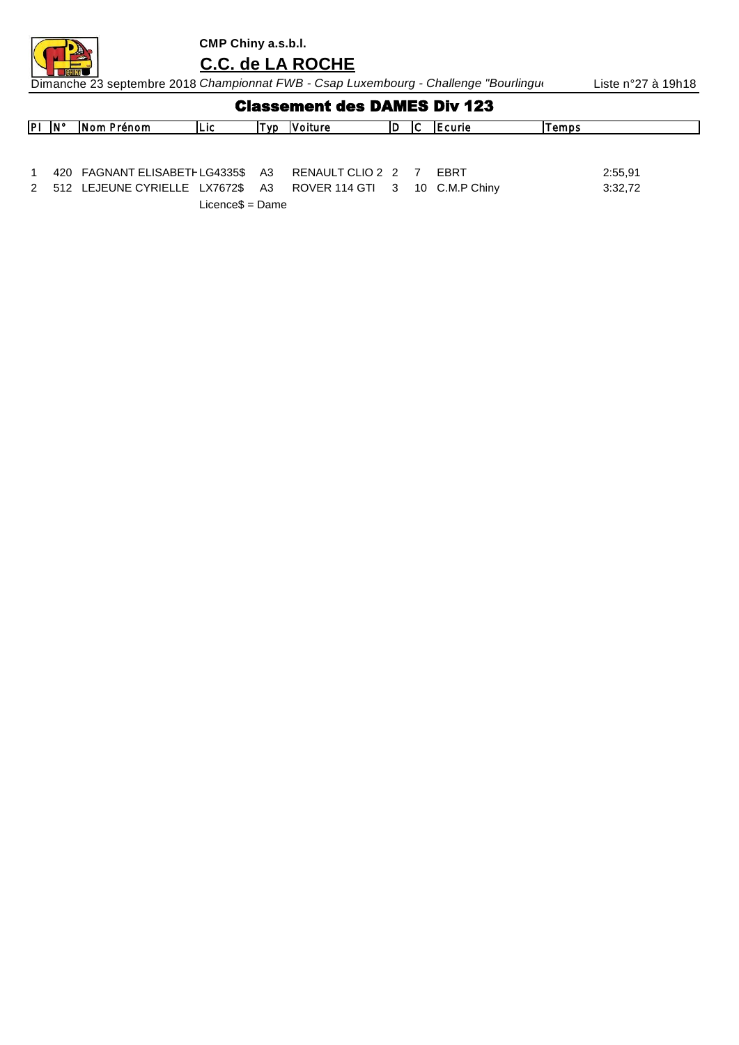

**C.C. de LA ROCHE**

Dimanche 23 septembre 2018 *Championnat FWB - Csap Luxembourg - Challenge "Bourlingu*rs" Liste n°27 à 19h18

| <b>Classement des DAMES Div 123</b> |  |  |  |  |
|-------------------------------------|--|--|--|--|
|-------------------------------------|--|--|--|--|

| $PI$ $N^{\circ}$ | Nom Prénom                                                        | ILIC. | [VD | <b>IVoiture</b> | IC. | <b>IEcurie</b> | lTemps. |
|------------------|-------------------------------------------------------------------|-------|-----|-----------------|-----|----------------|---------|
|                  |                                                                   |       |     |                 |     |                |         |
|                  |                                                                   |       |     |                 |     |                |         |
|                  |                                                                   |       |     |                 |     |                |         |
|                  | 420 FAGNANT ELISABETH LG4335\$ A3 RENAULT CLIO 2 2 7              |       |     |                 |     | <b>FBRT</b>    | 2:55,91 |
|                  | 2 512 LEJEUNE CYRIELLE LX7672\$ A3 ROVER 114 GTI 3 10 C.M.P Chiny |       |     |                 |     |                | 3:32,72 |

Licence\$ = Dame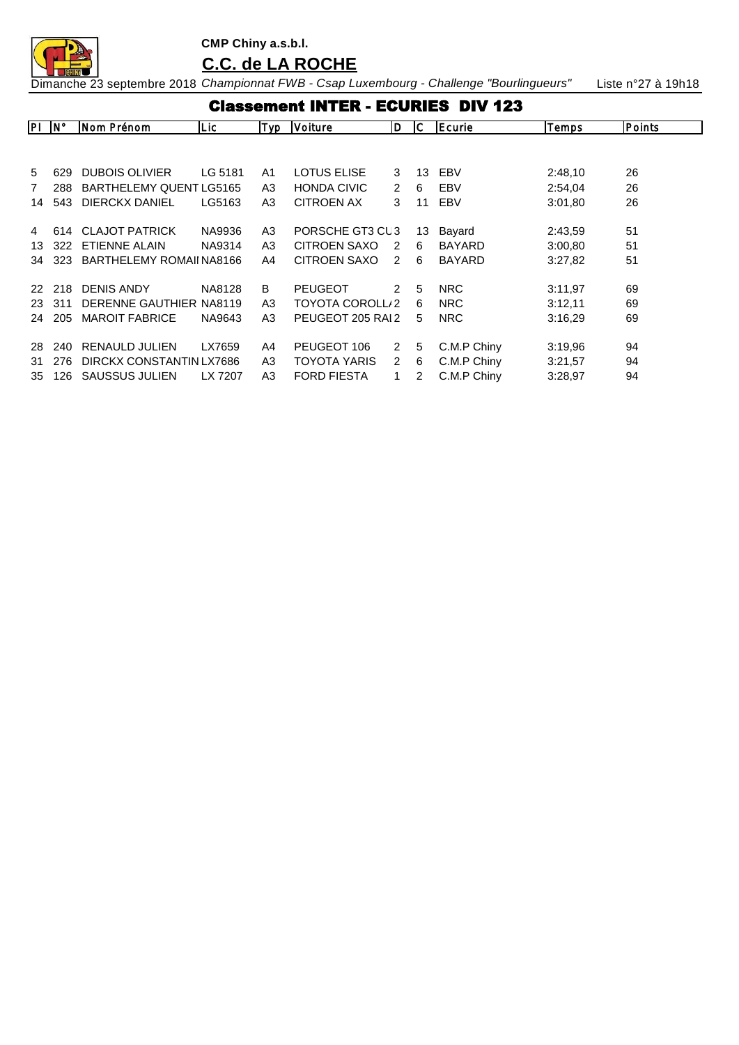**CMP Chiny a.s.b.l. C.C. de LA ROCHE**

|                   | <b>Classement INTER - ECURIES DIV 123</b> |                          |         |                |                     |                |    |               |         |        |  |  |  |
|-------------------|-------------------------------------------|--------------------------|---------|----------------|---------------------|----------------|----|---------------|---------|--------|--|--|--|
| $P\Box N^{\circ}$ |                                           | Nom Prénom               | Lic     | Typ            | Voiture             | ID.            | IС | Ecurie        | Temps   | Points |  |  |  |
|                   |                                           |                          |         |                |                     |                |    |               |         |        |  |  |  |
| 5                 | 629                                       | <b>DUBOIS OLIVIER</b>    | LG 5181 | A1             | <b>LOTUS ELISE</b>  | 3              | 13 | EBV           | 2:48,10 | 26     |  |  |  |
| 7                 | 288                                       | BARTHELEMY QUENT LG5165  |         | A3             | <b>HONDA CIVIC</b>  | $\mathcal{P}$  | 6  | EBV           | 2:54,04 | 26     |  |  |  |
| 14                | 543                                       | <b>DIERCKX DANIEL</b>    | LG5163  | A3             | <b>CITROEN AX</b>   | 3              | 11 | EBV           | 3:01,80 | 26     |  |  |  |
|                   |                                           |                          |         |                |                     |                |    |               |         |        |  |  |  |
| 4                 | 614                                       | <b>CLAJOT PATRICK</b>    | NA9936  | A3             | PORSCHE GT3 CL3     |                | 13 | Bayard        | 2:43,59 | 51     |  |  |  |
| 13                | 322                                       | <b>ETIENNE ALAIN</b>     | NA9314  | A3             | CITROEN SAXO        | $\mathcal{P}$  | 6  | <b>BAYARD</b> | 3:00,80 | 51     |  |  |  |
| 34                | 323                                       | BARTHELEMY ROMAILNA8166  |         | A4             | <b>CITROEN SAXO</b> | 2              | 6  | <b>BAYARD</b> | 3:27,82 | 51     |  |  |  |
|                   |                                           |                          |         |                |                     |                |    |               |         |        |  |  |  |
| 22.               | 218                                       | <b>DENIS ANDY</b>        | NA8128  | B              | <b>PEUGEOT</b>      | $\mathcal{P}$  | 5  | <b>NRC</b>    | 3:11,97 | 69     |  |  |  |
| 23                | 311                                       | DERENNE GAUTHIER NA8119  |         | A <sub>3</sub> | TOYOTA COROLL/2     |                | 6  | <b>NRC</b>    | 3:12,11 | 69     |  |  |  |
| 24                | 205                                       | <b>MAROIT FABRICE</b>    | NA9643  | A3             | PEUGEOT 205 RAI 2   |                | 5  | <b>NRC</b>    | 3:16,29 | 69     |  |  |  |
|                   |                                           |                          |         |                |                     |                |    |               |         |        |  |  |  |
| 28                | 240                                       | <b>RENAULD JULIEN</b>    | LX7659  | A4             | PEUGEOT 106         | $\overline{2}$ | 5  | C.M.P Chiny   | 3:19,96 | 94     |  |  |  |
| 31                | 276                                       | DIRCKX CONSTANTIN LX7686 |         | A3             | TOYOTA YARIS        | $\mathbf{2}$   | 6  | C.M.P Chiny   | 3:21,57 | 94     |  |  |  |
| 35                | 126                                       | SAUSSUS JULIEN           | LX 7207 | A3             | <b>FORD FIESTA</b>  |                | 2  | C.M.P Chiny   | 3:28,97 | 94     |  |  |  |